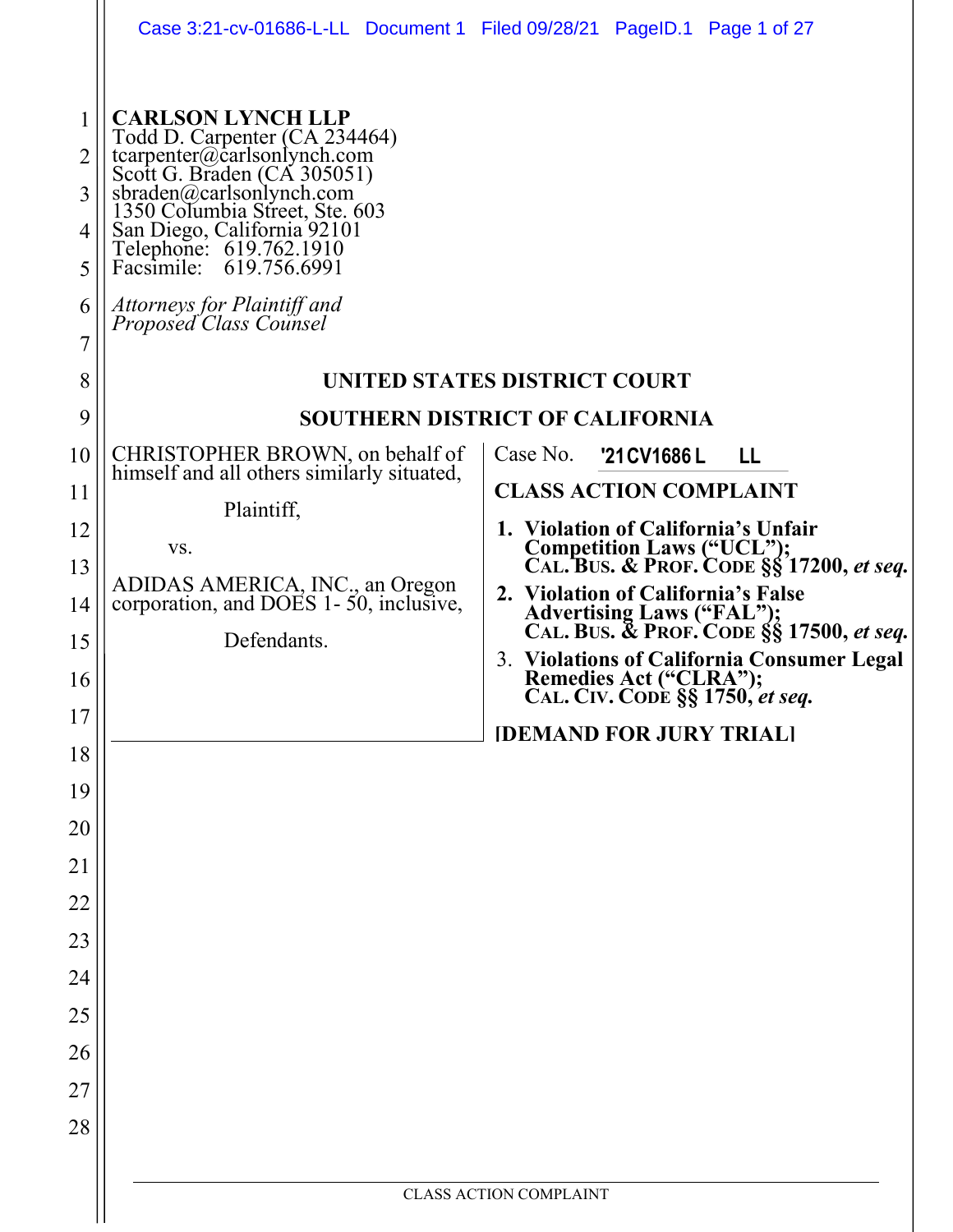|                                           | Case 3:21-cv-01686-L-LL Document 1 Filed 09/28/21 PageID.1 Page 1 of 27                                                                                                                                                                                                                                                             |                                                                                                         |  |
|-------------------------------------------|-------------------------------------------------------------------------------------------------------------------------------------------------------------------------------------------------------------------------------------------------------------------------------------------------------------------------------------|---------------------------------------------------------------------------------------------------------|--|
| 1<br>2<br>3<br>4<br>5<br>6<br>7<br>8<br>9 | <b>CARLSON LYNCH LLP</b><br>Todd D. Carpenter (CA 234464)<br>tcarpenter@carlsonlynch.com<br>Scott G. Braden (CA 305051)<br>sbraden@carlsonlynch.com<br>1350 Columbia Street, Ste. 603<br>San Diego, California 92101<br>Telephone: 619.762.1910<br>Facsimile: 619.756.6991<br>Attorneys for Plaintiff and<br>Proposed Class Counsel | UNITED STATES DISTRICT COURT<br><b>SOUTHERN DISTRICT OF CALIFORNIA</b>                                  |  |
| 10                                        | CHRISTOPHER BROWN, on behalf of<br>himself and all others similarly situated,                                                                                                                                                                                                                                                       | Case No.<br>'21 CV 1686 L<br>LL                                                                         |  |
| 11<br>12                                  | Plaintiff,                                                                                                                                                                                                                                                                                                                          | <b>CLASS ACTION COMPLAINT</b><br>1. Violation of California's Unfair                                    |  |
| 13                                        | VS.                                                                                                                                                                                                                                                                                                                                 | Competition Laws ("UCL");<br>CAL. BUS. & PROF. CODE §§ 17200, et seq.                                   |  |
| 14                                        | ADIDAS AMERICA, INC., an Oregon<br>corporation, and DOES 1-50, inclusive,                                                                                                                                                                                                                                                           | 2. Violation of California's False                                                                      |  |
| 15                                        | Defendants.                                                                                                                                                                                                                                                                                                                         | Advertising Laws ("FAL");<br>CAL. BUS. & PROF. CODE §§ 17500, et seq.                                   |  |
| 16                                        |                                                                                                                                                                                                                                                                                                                                     | 3. Violations of California Consumer Legal<br>Remedies Act ("CLRA");<br>CAL. CIV. CODE §§ 1750, et seq. |  |
| 17                                        |                                                                                                                                                                                                                                                                                                                                     | <b>IDEMAND FOR JURY TRIALI</b>                                                                          |  |
| 18                                        |                                                                                                                                                                                                                                                                                                                                     |                                                                                                         |  |
| 19<br>20                                  |                                                                                                                                                                                                                                                                                                                                     |                                                                                                         |  |
| 21                                        |                                                                                                                                                                                                                                                                                                                                     |                                                                                                         |  |
| 22                                        |                                                                                                                                                                                                                                                                                                                                     |                                                                                                         |  |
| 23                                        |                                                                                                                                                                                                                                                                                                                                     |                                                                                                         |  |
| 24                                        |                                                                                                                                                                                                                                                                                                                                     |                                                                                                         |  |
| 25                                        |                                                                                                                                                                                                                                                                                                                                     |                                                                                                         |  |
| 26                                        |                                                                                                                                                                                                                                                                                                                                     |                                                                                                         |  |
| 27                                        |                                                                                                                                                                                                                                                                                                                                     |                                                                                                         |  |
| 28                                        |                                                                                                                                                                                                                                                                                                                                     |                                                                                                         |  |
|                                           | <b>CLASS ACTION COMPLAINT</b>                                                                                                                                                                                                                                                                                                       |                                                                                                         |  |
|                                           |                                                                                                                                                                                                                                                                                                                                     |                                                                                                         |  |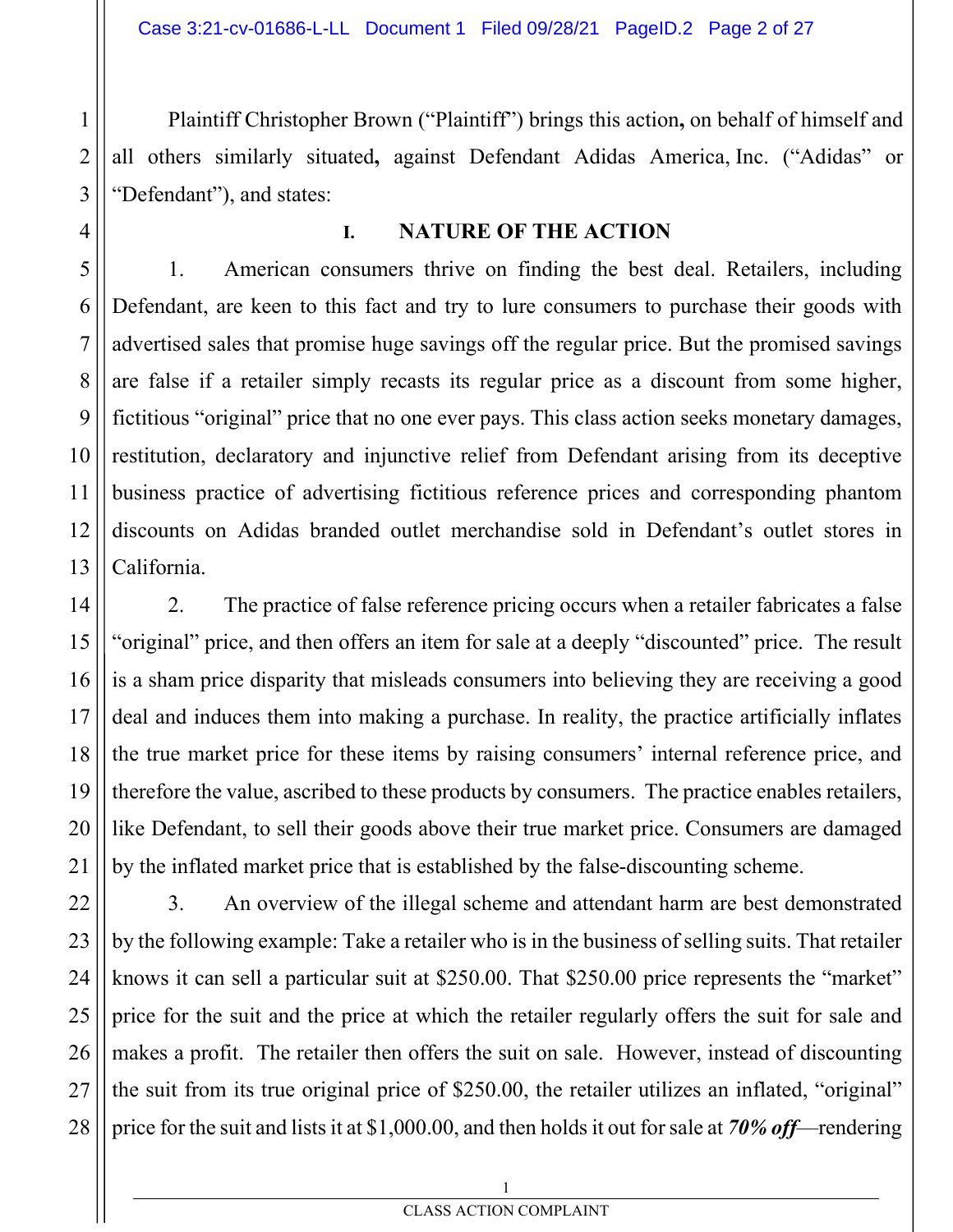Plaintiff Christopher Brown ("Plaintiff") brings this action**,** on behalf of himself and all others similarly situated**,** against Defendant Adidas America, Inc. ("Adidas" or "Defendant"), and states:

#### **I. NATURE OF THE ACTION**

1. American consumers thrive on finding the best deal. Retailers, including Defendant, are keen to this fact and try to lure consumers to purchase their goods with advertised sales that promise huge savings off the regular price. But the promised savings are false if a retailer simply recasts its regular price as a discount from some higher, fictitious "original" price that no one ever pays. This class action seeks monetary damages, restitution, declaratory and injunctive relief from Defendant arising from its deceptive business practice of advertising fictitious reference prices and corresponding phantom discounts on Adidas branded outlet merchandise sold in Defendant's outlet stores in California.

2. The practice of false reference pricing occurs when a retailer fabricates a false "original" price, and then offers an item for sale at a deeply "discounted" price. The result is a sham price disparity that misleads consumers into believing they are receiving a good deal and induces them into making a purchase. In reality, the practice artificially inflates the true market price for these items by raising consumers' internal reference price, and therefore the value, ascribed to these products by consumers. The practice enables retailers, like Defendant, to sell their goods above their true market price. Consumers are damaged by the inflated market price that is established by the false-discounting scheme.

3. An overview of the illegal scheme and attendant harm are best demonstrated by the following example: Take a retailer who is in the business of selling suits. That retailer knows it can sell a particular suit at \$250.00. That \$250.00 price represents the "market" price for the suit and the price at which the retailer regularly offers the suit for sale and makes a profit. The retailer then offers the suit on sale. However, instead of discounting the suit from its true original price of \$250.00, the retailer utilizes an inflated, "original" price for the suit and lists it at \$1,000.00, and then holds it out for sale at *70% off*—rendering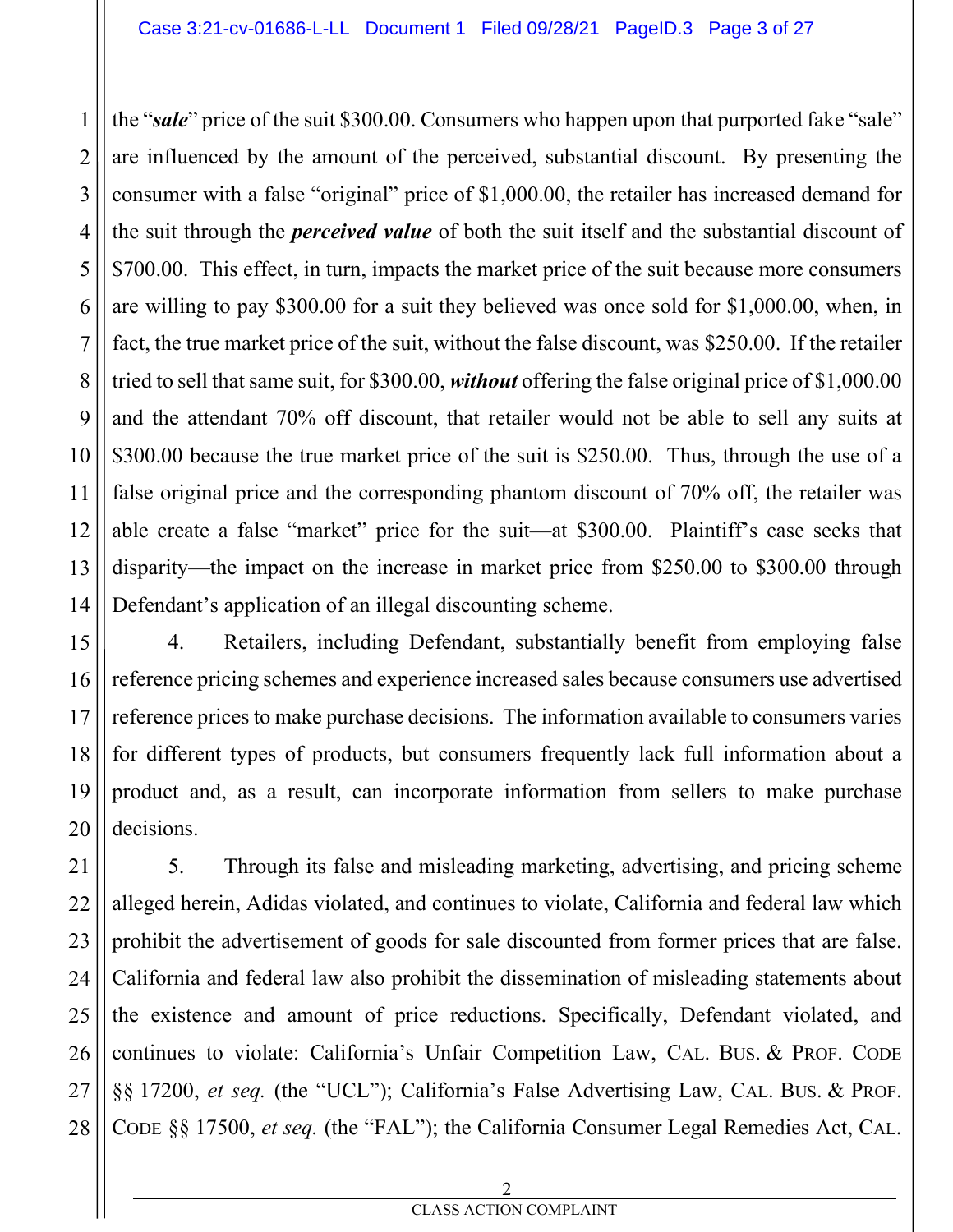the "*sale*" price of the suit \$300.00. Consumers who happen upon that purported fake "sale" are influenced by the amount of the perceived, substantial discount. By presenting the consumer with a false "original" price of \$1,000.00, the retailer has increased demand for the suit through the *perceived value* of both the suit itself and the substantial discount of \$700.00. This effect, in turn, impacts the market price of the suit because more consumers are willing to pay \$300.00 for a suit they believed was once sold for \$1,000.00, when, in fact, the true market price of the suit, without the false discount, was \$250.00. If the retailer tried to sell that same suit, for \$300.00, *without* offering the false original price of \$1,000.00 and the attendant 70% off discount, that retailer would not be able to sell any suits at \$300.00 because the true market price of the suit is \$250.00. Thus, through the use of a false original price and the corresponding phantom discount of 70% off, the retailer was able create a false "market" price for the suit—at \$300.00. Plaintiff's case seeks that disparity—the impact on the increase in market price from \$250.00 to \$300.00 through Defendant's application of an illegal discounting scheme.

4. Retailers, including Defendant, substantially benefit from employing false reference pricing schemes and experience increased sales because consumers use advertised reference prices to make purchase decisions. The information available to consumers varies for different types of products, but consumers frequently lack full information about a product and, as a result, can incorporate information from sellers to make purchase decisions.

5. Through its false and misleading marketing, advertising, and pricing scheme alleged herein, Adidas violated, and continues to violate, California and federal law which prohibit the advertisement of goods for sale discounted from former prices that are false. California and federal law also prohibit the dissemination of misleading statements about the existence and amount of price reductions. Specifically, Defendant violated, and continues to violate: California's Unfair Competition Law, CAL. BUS. & PROF. CODE §§ 17200, *et seq.* (the "UCL"); California's False Advertising Law, CAL. BUS. & PROF. CODE §§ 17500, *et seq.* (the "FAL"); the California Consumer Legal Remedies Act, CAL.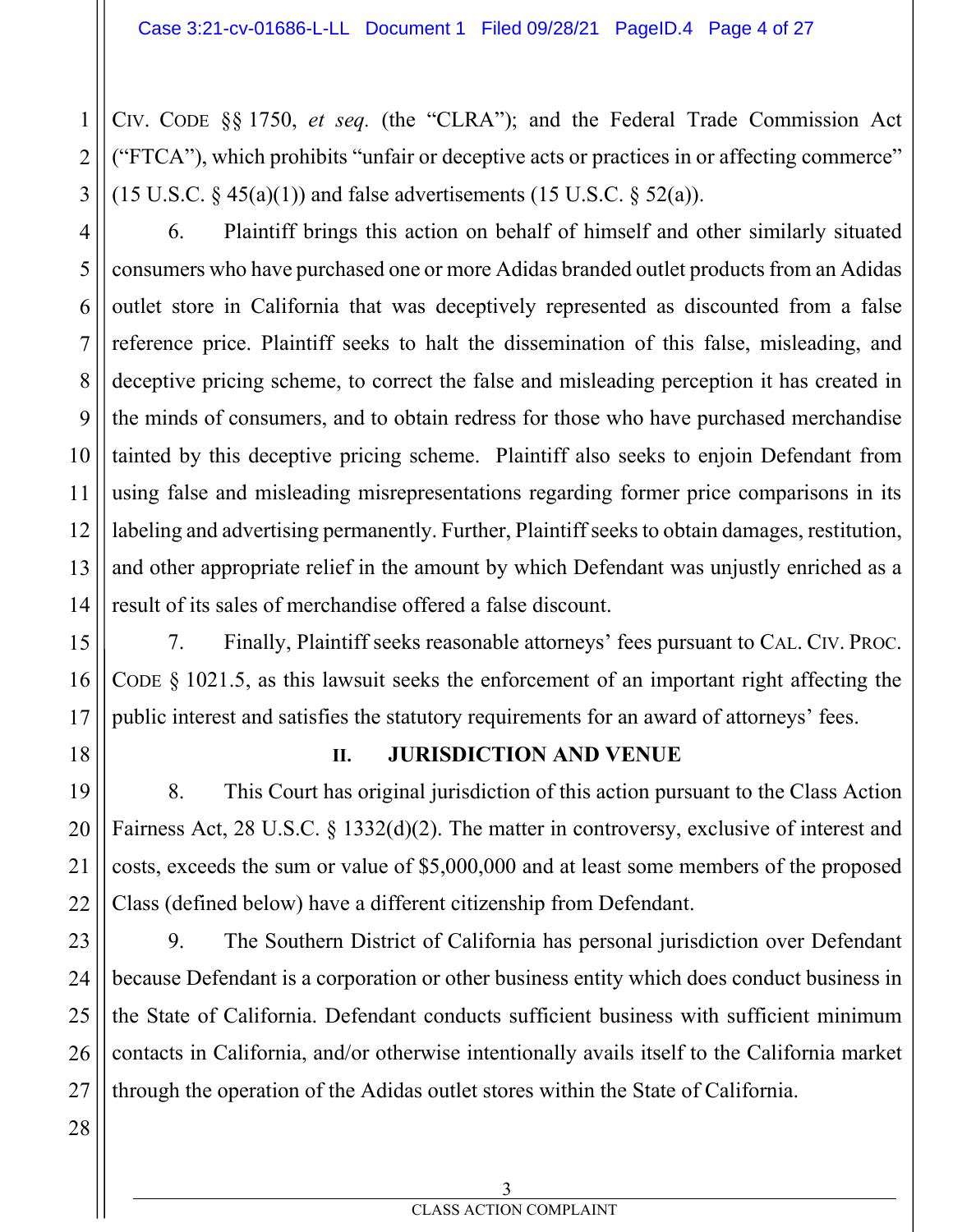CIV. CODE §§ 1750, *et seq.* (the "CLRA"); and the Federal Trade Commission Act ("FTCA"), which prohibits "unfair or deceptive acts or practices in or affecting commerce" (15 U.S.C.  $\S$  45(a)(1)) and false advertisements (15 U.S.C.  $\S$  52(a)).

6. Plaintiff brings this action on behalf of himself and other similarly situated consumers who have purchased one or more Adidas branded outlet products from an Adidas outlet store in California that was deceptively represented as discounted from a false reference price. Plaintiff seeks to halt the dissemination of this false, misleading, and deceptive pricing scheme, to correct the false and misleading perception it has created in the minds of consumers, and to obtain redress for those who have purchased merchandise tainted by this deceptive pricing scheme. Plaintiff also seeks to enjoin Defendant from using false and misleading misrepresentations regarding former price comparisons in its labeling and advertising permanently. Further, Plaintiff seeks to obtain damages, restitution, and other appropriate relief in the amount by which Defendant was unjustly enriched as a result of its sales of merchandise offered a false discount.

7. Finally, Plaintiff seeks reasonable attorneys' fees pursuant to CAL. CIV. PROC. CODE § 1021.5, as this lawsuit seeks the enforcement of an important right affecting the public interest and satisfies the statutory requirements for an award of attorneys' fees.

18

1

2

3

4

5

6

7

8

9

10

11

12

13

14

15

16

17

19

20

21

22

#### **II. JURISDICTION AND VENUE**

8. This Court has original jurisdiction of this action pursuant to the Class Action Fairness Act, 28 U.S.C. § 1332(d)(2). The matter in controversy, exclusive of interest and costs, exceeds the sum or value of \$5,000,000 and at least some members of the proposed Class (defined below) have a different citizenship from Defendant.

23 24 25 26 27 9. The Southern District of California has personal jurisdiction over Defendant because Defendant is a corporation or other business entity which does conduct business in the State of California. Defendant conducts sufficient business with sufficient minimum contacts in California, and/or otherwise intentionally avails itself to the California market through the operation of the Adidas outlet stores within the State of California.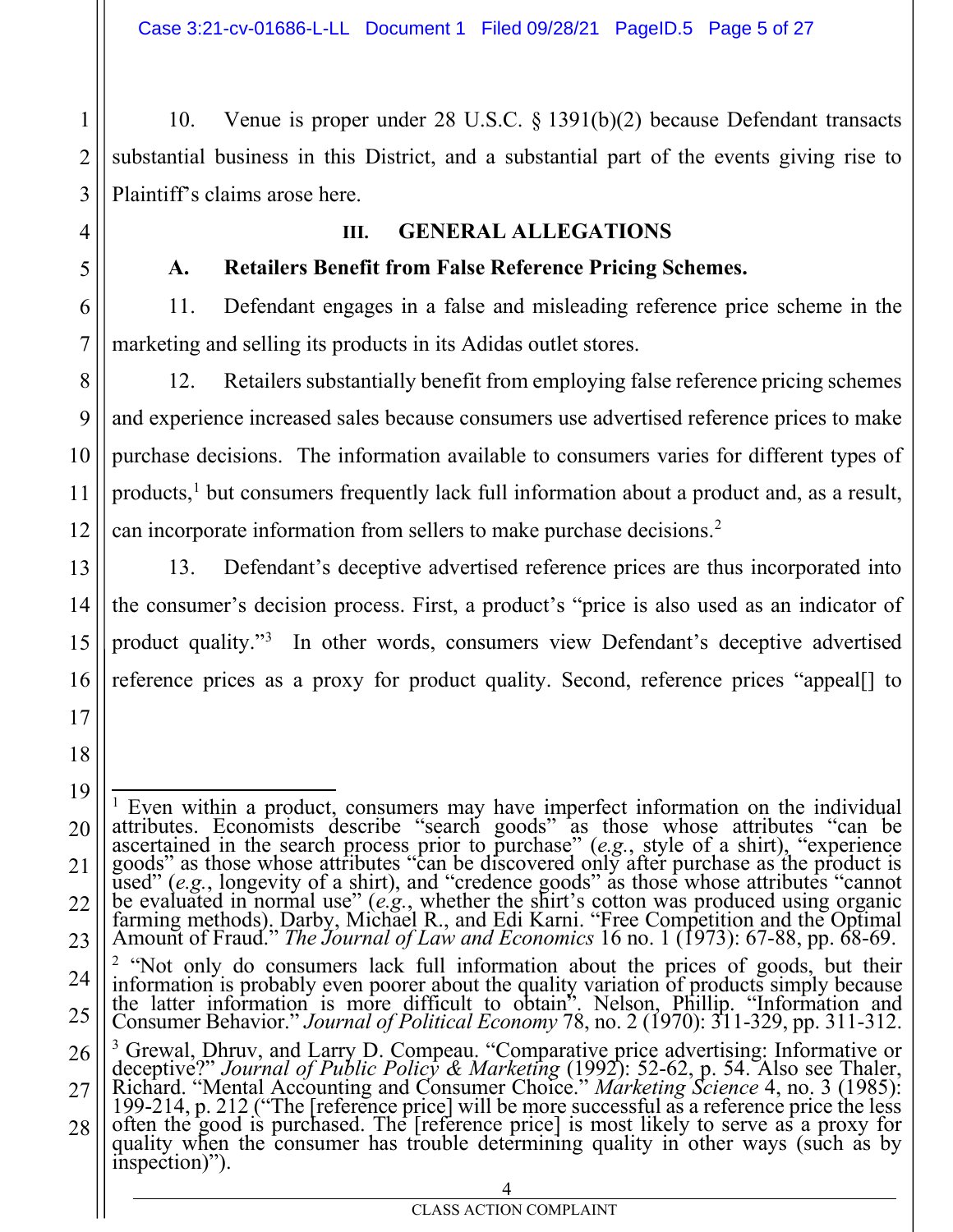10. Venue is proper under 28 U.S.C. § 1391(b)(2) because Defendant transacts substantial business in this District, and a substantial part of the events giving rise to Plaintiff's claims arose here.

#### **III. GENERAL ALLEGATIONS**

#### **A. Retailers Benefit from False Reference Pricing Schemes.**

11. Defendant engages in a false and misleading reference price scheme in the marketing and selling its products in its Adidas outlet stores.

12. Retailers substantially benefit from employing false reference pricing schemes and experience increased sales because consumers use advertised reference prices to make purchase decisions. The information available to consumers varies for different types of products,<sup>1</sup> but consumers frequently lack full information about a product and, as a result, can incorporate information from sellers to make purchase decisions.2

13. Defendant's deceptive advertised reference prices are thus incorporated into the consumer's decision process. First, a product's "price is also used as an indicator of product quality."<sup>3</sup> In other words, consumers view Defendant's deceptive advertised reference prices as a proxy for product quality. Second, reference prices "appeal[] to

<sup>&</sup>lt;sup>1</sup> Even within a product, consumers may have imperfect information on the individual attributes. Economists describe "search goods" as those whose attributes "can be ascertained in the search process prior to purchase" (*e.g.*, style of a shirt), "experience goods" as those whose attributes "can be discovered only after purchase as the product is used" (e.g., longevity of a shirt), and "credence goods" as those whose attributes "cannot<br>be evaluated in normal use" (e.g., whether the shirt's cotton was produced using organic<br>farming methods). Darby, Michael R., and E Amount of Fraud." *The Journal of Law and Economics* 16 no. 1 (1973): 67-88, pp. 68-69. <sup>2</sup> "Not only do consumers lack full information about the prices of goods, but their information is probably even poorer about the quality variation of products simply because the latter information is more difficult to obtain". Nelson, Phillip. "Information and Consumer Behavior." *Journal of Political Economy* 78, no. 2 (1970): 311-329, pp. 311-312. <sup>3</sup> Grewal, Dhruv, and Larry D. Compeau. "Comparative price advertising: Informative or deceptive?" Journal of Public Policy & Marketing (1992): 52-62, p. 54. Also see Thaler,<br>Richard. "Mental Accounting and Consumer Choice." Marketing Science 4, no. 3 (1985):<br>199-214, p. 212 ("The [reference price] will be m 199-214, p. 212 ("The [reference price] will be more successful as a reference price the less often the good is purchased. The [reference price] is most likely to serve as a proxy for quality when the consumer has trouble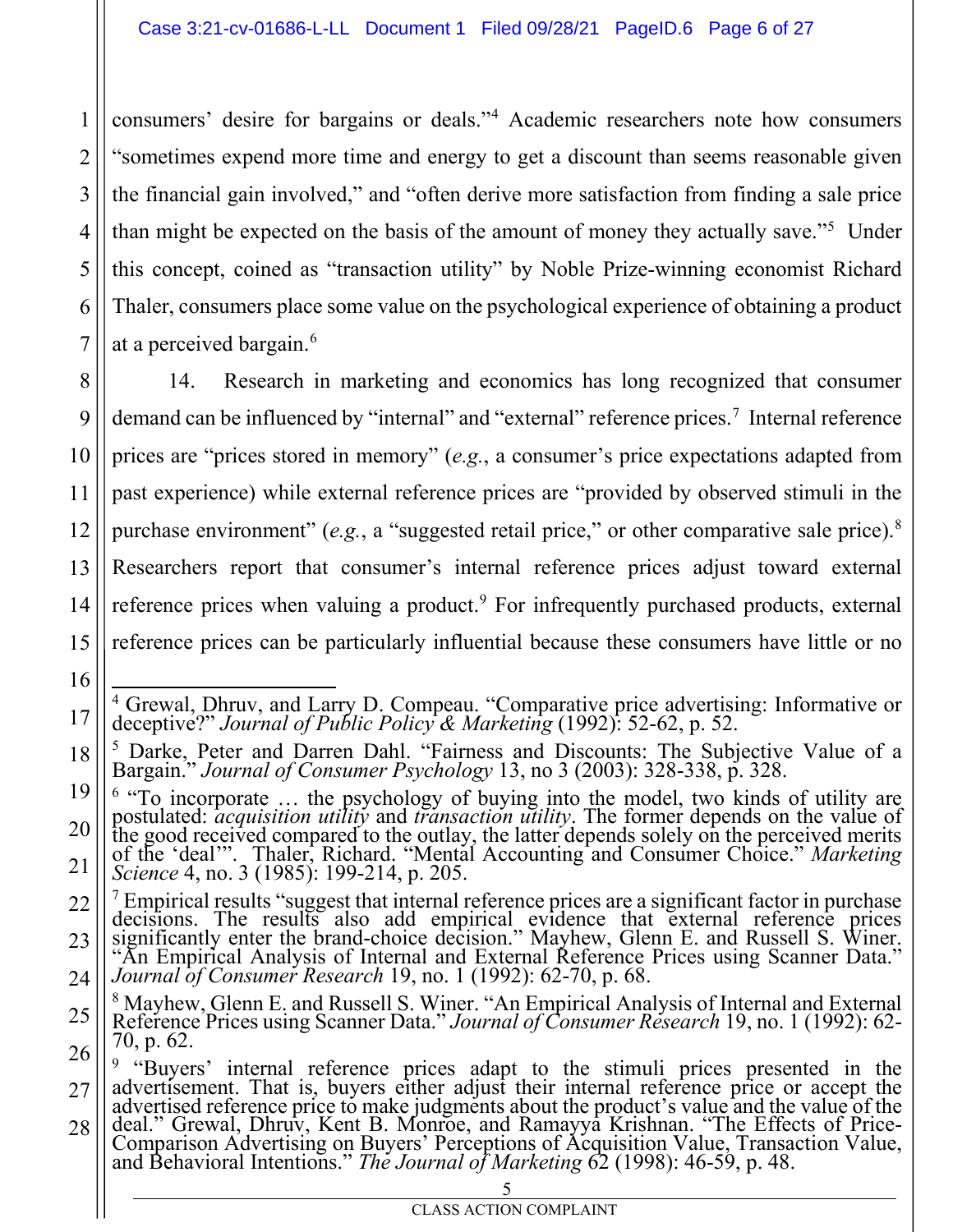consumers' desire for bargains or deals."4 Academic researchers note how consumers "sometimes expend more time and energy to get a discount than seems reasonable given the financial gain involved," and "often derive more satisfaction from finding a sale price than might be expected on the basis of the amount of money they actually save."<sup>5</sup> Under this concept, coined as "transaction utility" by Noble Prize-winning economist Richard Thaler, consumers place some value on the psychological experience of obtaining a product at a perceived bargain.<sup>6</sup>

13 14 15 14. Research in marketing and economics has long recognized that consumer demand can be influenced by "internal" and "external" reference prices.<sup>7</sup> Internal reference prices are "prices stored in memory" (*e.g.*, a consumer's price expectations adapted from past experience) while external reference prices are "provided by observed stimuli in the purchase environment" (e.g., a "suggested retail price," or other comparative sale price).<sup>8</sup> Researchers report that consumer's internal reference prices adjust toward external reference prices when valuing a product.<sup>9</sup> For infrequently purchased products, external reference prices can be particularly influential because these consumers have little or no

1

2

3

4

5

6

7

8

9

10

11

12

16

<sup>4</sup> Grewal, Dhruv, and Larry D. Compeau. "Comparative price advertising: Informative or deceptive?" *Journal of Public Policy & Marketing* (1992): 52-62, p. 52.

<sup>18</sup> <sup>5</sup> Darke, Peter and Darren Dahl. "Fairness and Discounts: The Subjective Value of a Bargain." *Journal of Consumer Psychology* 13, no 3 (2003): 328-338, p. 328.

<sup>19</sup> 20 21  $6$  "To incorporate ... the psychology of buying into the model, two kinds of utility are postulated: *acquisition utility* and *transaction utility*. The former depends on the value of postulated: *acquisition utility* and *transaction utility*. The former depends on the value of the good received compared to the outlay, the latter depends solely on the perceived merits of the 'deal'". Thaler, Richard. "Mental Accounting and Consumer Choice." *Marketing*<br>Science 4, no. 3 (1985): 199-214, p. 205.<br><sup>7</sup> Empirical results "suggest that internal reference prices are a significant factor in purc

<sup>22</sup> 23 24 decisions. The results also add empirical evidence that external reference prices significantly enter the brand-choice decision." Mayhew, Glenn E. and Russell S. Winer. "An Empirical Analysis of Internal and External Reference Prices using Scanner Data." *Journal of Consumer Research* 19, no. 1 (1992): 62-70, p. 68.

<sup>25</sup> 26 <sup>8</sup> Mayhew, Glenn E. and Russell S. Winer. "An Empirical Analysis of Internal and External Reference Prices using Scanner Data." *Journal of Consumer Research* 19, no. 1 (1992): 62- 70, p. 62.

<sup>27</sup> <sup>9</sup> "Buyers' internal reference prices adapt to the stimuli prices presented in the advertisement. That is, buyers either adjust their internal reference price or accept the

<sup>28</sup> advertised reference price to make judgments about the product's value and the value of the deal." Grewal, Dhruv, Kent B. Monroe, and Ramayya Krishnan. "The Effects of Price-Comparison Advertising on Buyers' Perceptions of Acquisition Value, Transaction Value, and Behavioral Intentions." The Journal of Marketing 62 (1998): 46-59, p. 48.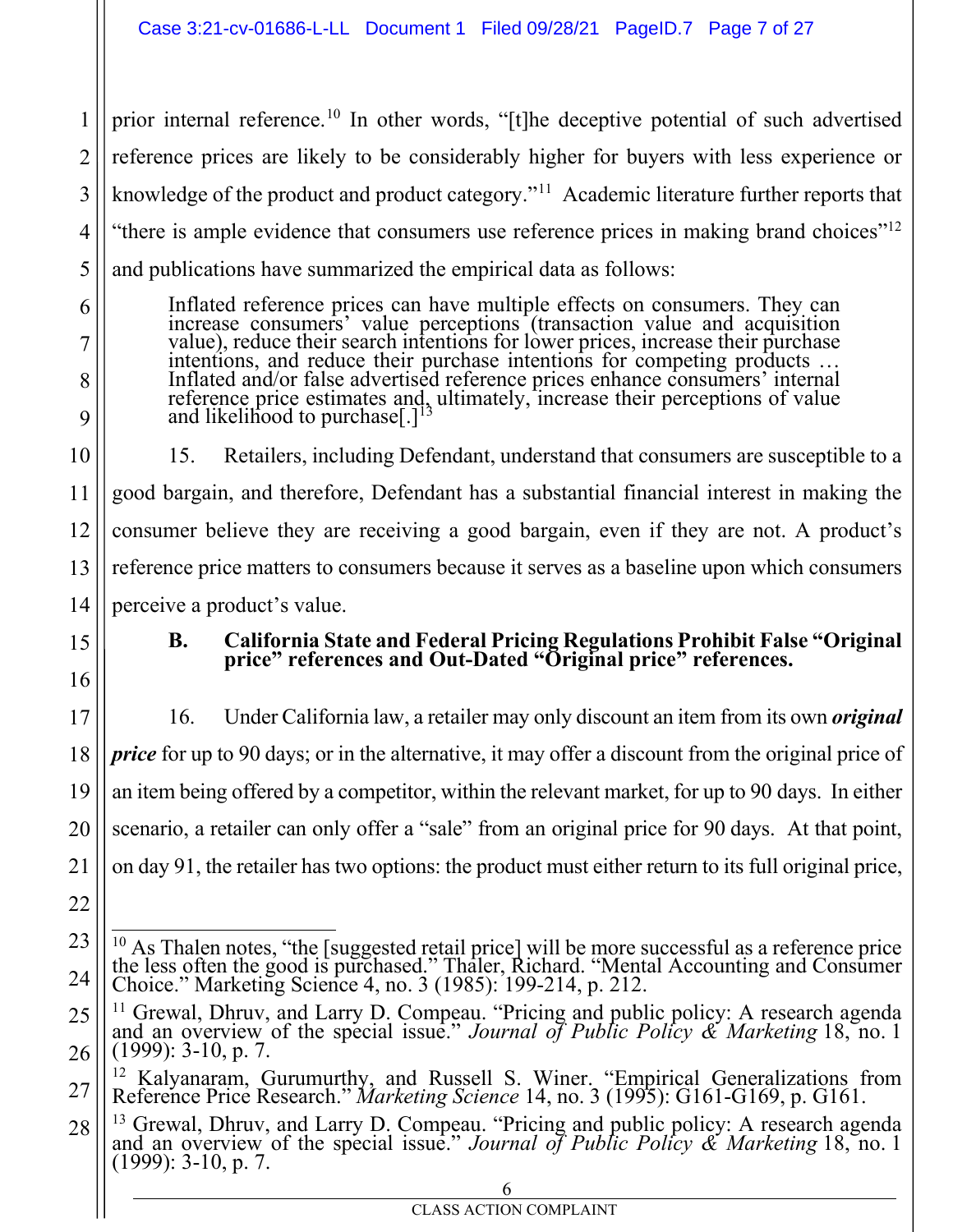prior internal reference.10 In other words, "[t]he deceptive potential of such advertised reference prices are likely to be considerably higher for buyers with less experience or knowledge of the product and product category."11 Academic literature further reports that "there is ample evidence that consumers use reference prices in making brand choices"<sup>12</sup> and publications have summarized the empirical data as follows:

Inflated reference prices can have multiple effects on consumers. They can increase consumers' value perceptions (transaction value and acquisition value), reduce their search intentions for lower prices, increase their purchase intentions, and reduce their purchase intentions for competing products … Inflated and/or false advertised reference prices enhance consumers' internal reference price estimates and, ultimately, increase their perceptions of value and likelihood to purchase $[.]<sup>1</sup>$ 

15. Retailers, including Defendant, understand that consumers are susceptible to a good bargain, and therefore, Defendant has a substantial financial interest in making the consumer believe they are receiving a good bargain, even if they are not. A product's reference price matters to consumers because it serves as a baseline upon which consumers perceive a product's value.

1

2

3

4

5

6

7

8

9

**B. California State and Federal Pricing Regulations Prohibit False "Original price" references and Out-Dated "Original price" references.** 

16. Under California law, a retailer may only discount an item from its own *original price* for up to 90 days; or in the alternative, it may offer a discount from the original price of an item being offered by a competitor, within the relevant market, for up to 90 days. In either scenario, a retailer can only offer a "sale" from an original price for 90 days. At that point, on day 91, the retailer has two options: the product must either return to its full original price,

<sup>&</sup>lt;sup>10</sup> As Thalen notes, "the [suggested retail price] will be more successful as a reference price the less often the good is purchased." Thaler, Richard. "Mental Accounting and Consumer Choice." Marketing Science 4, no. 3 (1985): 199-214, p. 212.

<sup>11</sup> Grewal, Dhruv, and Larry D. Compeau. "Pricing and public policy: A research agenda and an overview of the special issue." *Journal of Public Policy & Marketing* 18, no. <sup>1</sup> (1999): 3-10, p. 7.

<sup>12</sup> Kalyanaram, Gurumurthy, and Russell S. Winer. "Empirical Generalizations from Reference Price Research." *Marketing Science* 14, no. 3 (1995): G161-G169, p. G161.

<sup>&</sup>lt;sup>13</sup> Grewal, Dhruv, and Larry D. Compeau. "Pricing and public policy: A research agenda and an overview of the special issue." *Journal of Public Policy & Marketing* 18, no. 1  $(1999)$ : 3-10, p. 7.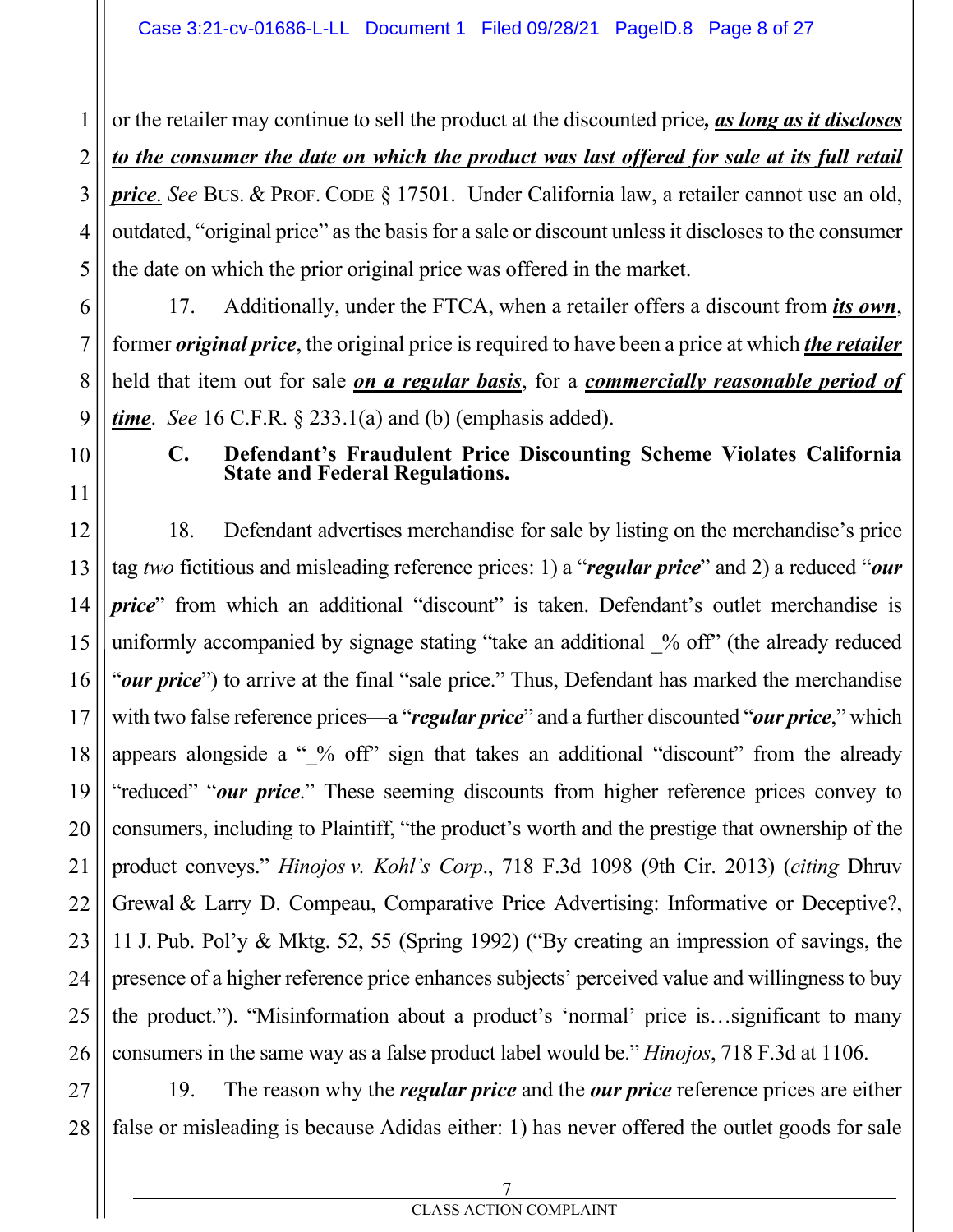or the retailer may continue to sell the product at the discounted price*, as long as it discloses*  to the consumer the date on which the product was last offered for sale at its full retail *price*. *See* BUS. & PROF. CODE § 17501. Under California law, a retailer cannot use an old, outdated, "original price" as the basis for a sale or discount unless it discloses to the consumer the date on which the prior original price was offered in the market.

17. Additionally, under the FTCA, when a retailer offers a discount from *its own*, former *original price*, the original price is required to have been a price at which *the retailer* held that item out for sale *on a regular basis*, for a *commercially reasonable period of time*. *See* 16 C.F.R. § 233.1(a) and (b) (emphasis added).

#### **C. Defendant's Fraudulent Price Discounting Scheme Violates California State and Federal Regulations.**

18. Defendant advertises merchandise for sale by listing on the merchandise's price tag *two* fictitious and misleading reference prices: 1) a "*regular price*" and 2) a reduced "*our price*" from which an additional "discount" is taken. Defendant's outlet merchandise is uniformly accompanied by signage stating "take an additional % off" (the already reduced "*our price*") to arrive at the final "sale price." Thus, Defendant has marked the merchandise with two false reference prices—a "*regular price*" and a further discounted "*our price*," which appears alongside a " % off" sign that takes an additional "discount" from the already "reduced" "*our price*." These seeming discounts from higher reference prices convey to consumers, including to Plaintiff, "the product's worth and the prestige that ownership of the product conveys." *Hinojos v. Kohl's Corp*., 718 F.3d 1098 (9th Cir. 2013) (*citing* Dhruv Grewal & Larry D. Compeau, Comparative Price Advertising: Informative or Deceptive?, 11 J. Pub. Pol'y & Mktg. 52, 55 (Spring 1992) ("By creating an impression of savings, the presence of a higher reference price enhances subjects' perceived value and willingness to buy the product."). "Misinformation about a product's 'normal' price is…significant to many consumers in the same way as a false product label would be." *Hinojos*, 718 F.3d at 1106.

19. The reason why the *regular price* and the *our price* reference prices are either false or misleading is because Adidas either: 1) has never offered the outlet goods for sale

1

2

3

4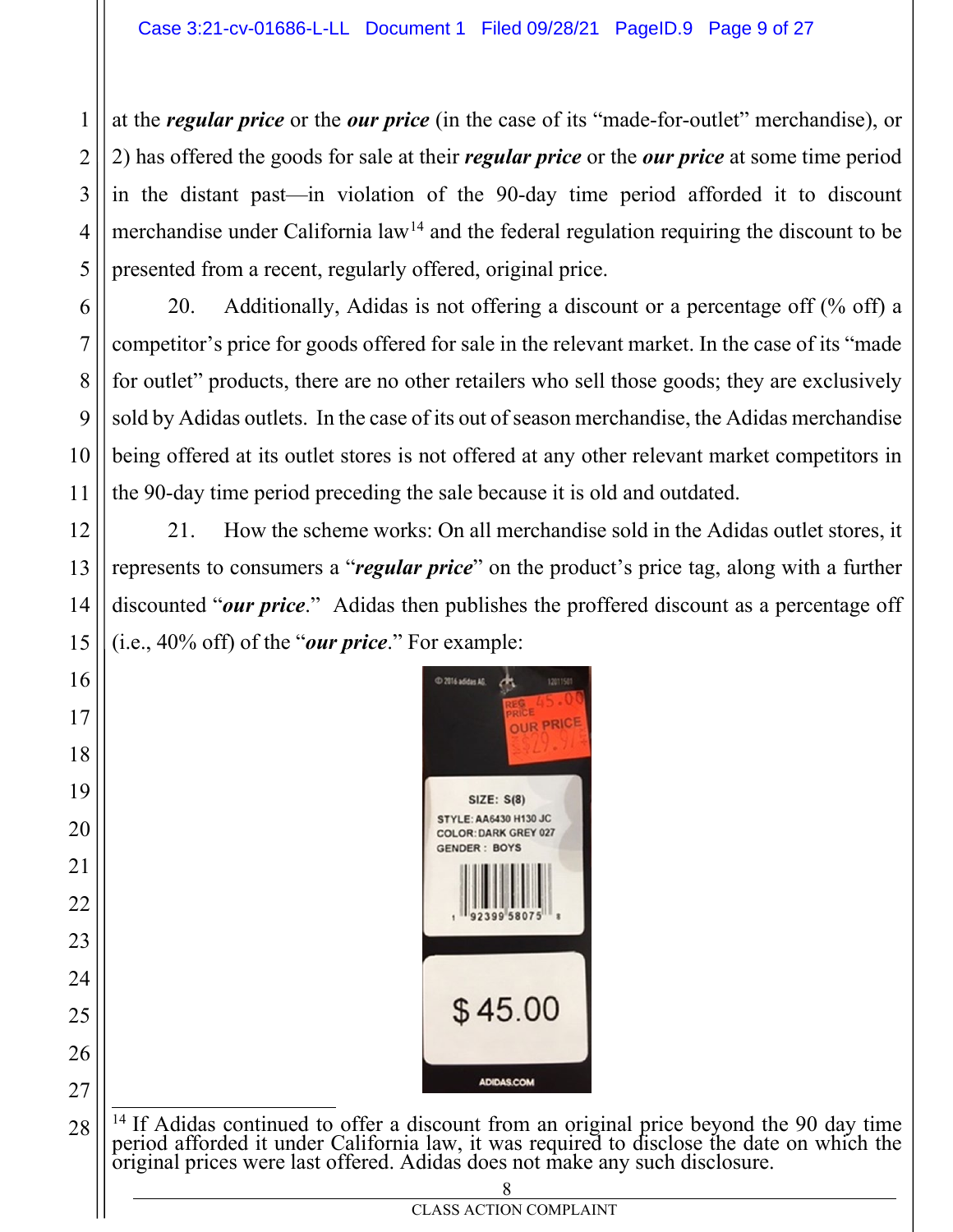at the *regular price* or the *our price* (in the case of its "made-for-outlet" merchandise), or 2) has offered the goods for sale at their *regular price* or the *our price* at some time period in the distant past—in violation of the 90-day time period afforded it to discount merchandise under California law<sup>14</sup> and the federal regulation requiring the discount to be presented from a recent, regularly offered, original price.

20. Additionally, Adidas is not offering a discount or a percentage off (% off) a competitor's price for goods offered for sale in the relevant market. In the case of its "made for outlet" products, there are no other retailers who sell those goods; they are exclusively sold by Adidas outlets. In the case of its out of season merchandise, the Adidas merchandise being offered at its outlet stores is not offered at any other relevant market competitors in the 90-day time period preceding the sale because it is old and outdated.

21. How the scheme works: On all merchandise sold in the Adidas outlet stores, it represents to consumers a "*regular price*" on the product's price tag, along with a further discounted "*our price*." Adidas then publishes the proffered discount as a percentage off (i.e., 40% off) of the "*our price*." For example:



<sup>14</sup> If Adidas continued to offer a discount from an original price beyond the 90 day time period afforded it under California law, it was required to disclose the date on which the original prices were last offered. Adidas does not make any such disclosure.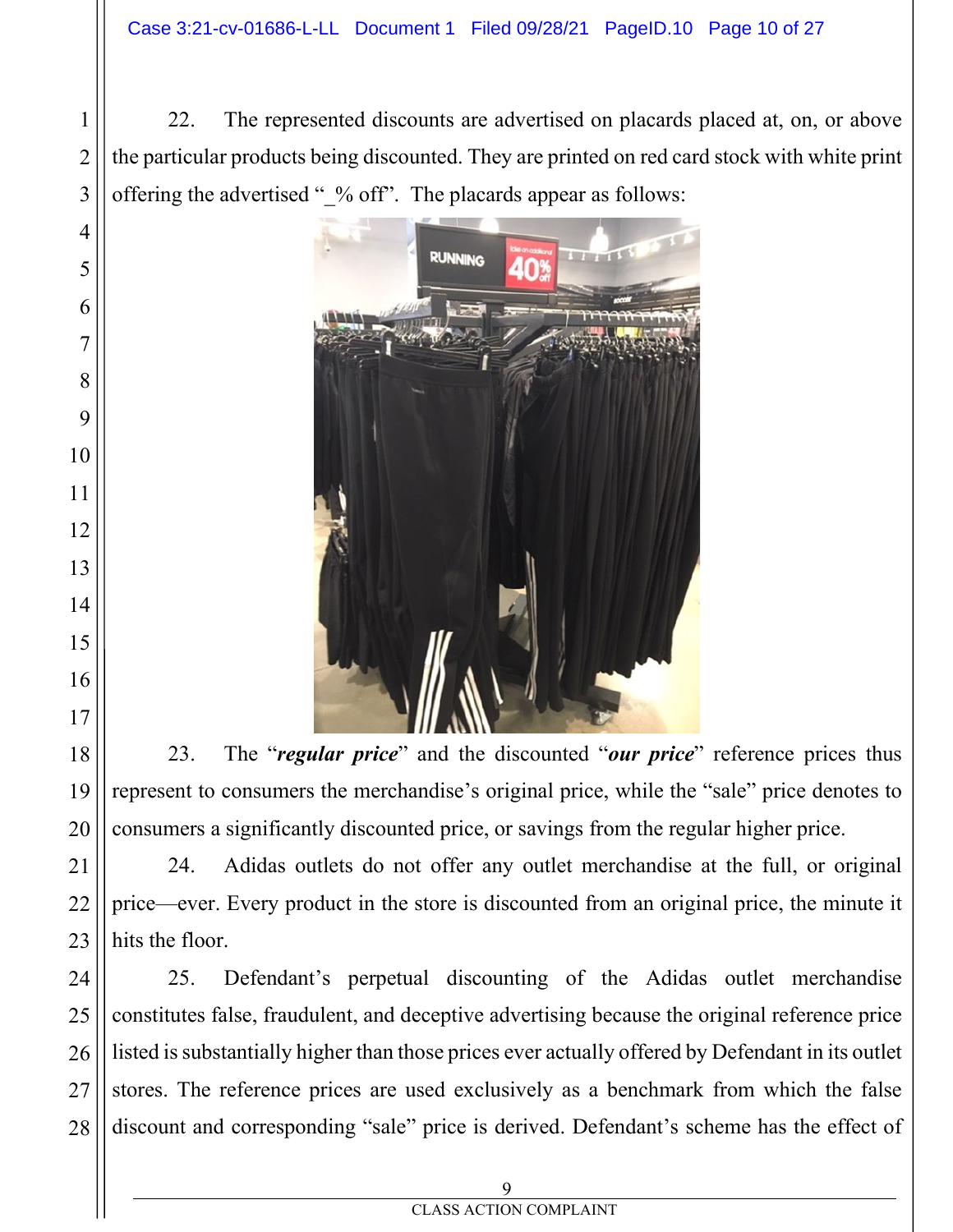22. The represented discounts are advertised on placards placed at, on, or above the particular products being discounted. They are printed on red card stock with white print offering the advertised "\_% off". The placards appear as follows:



23. The "*regular price*" and the discounted "*our price*" reference prices thus represent to consumers the merchandise's original price, while the "sale" price denotes to consumers a significantly discounted price, or savings from the regular higher price.

24. Adidas outlets do not offer any outlet merchandise at the full, or original price—ever. Every product in the store is discounted from an original price, the minute it hits the floor.

 25. Defendant's perpetual discounting of the Adidas outlet merchandise constitutes false, fraudulent, and deceptive advertising because the original reference price listed is substantially higher than those prices ever actually offered by Defendant in its outlet stores. The reference prices are used exclusively as a benchmark from which the false discount and corresponding "sale" price is derived. Defendant's scheme has the effect of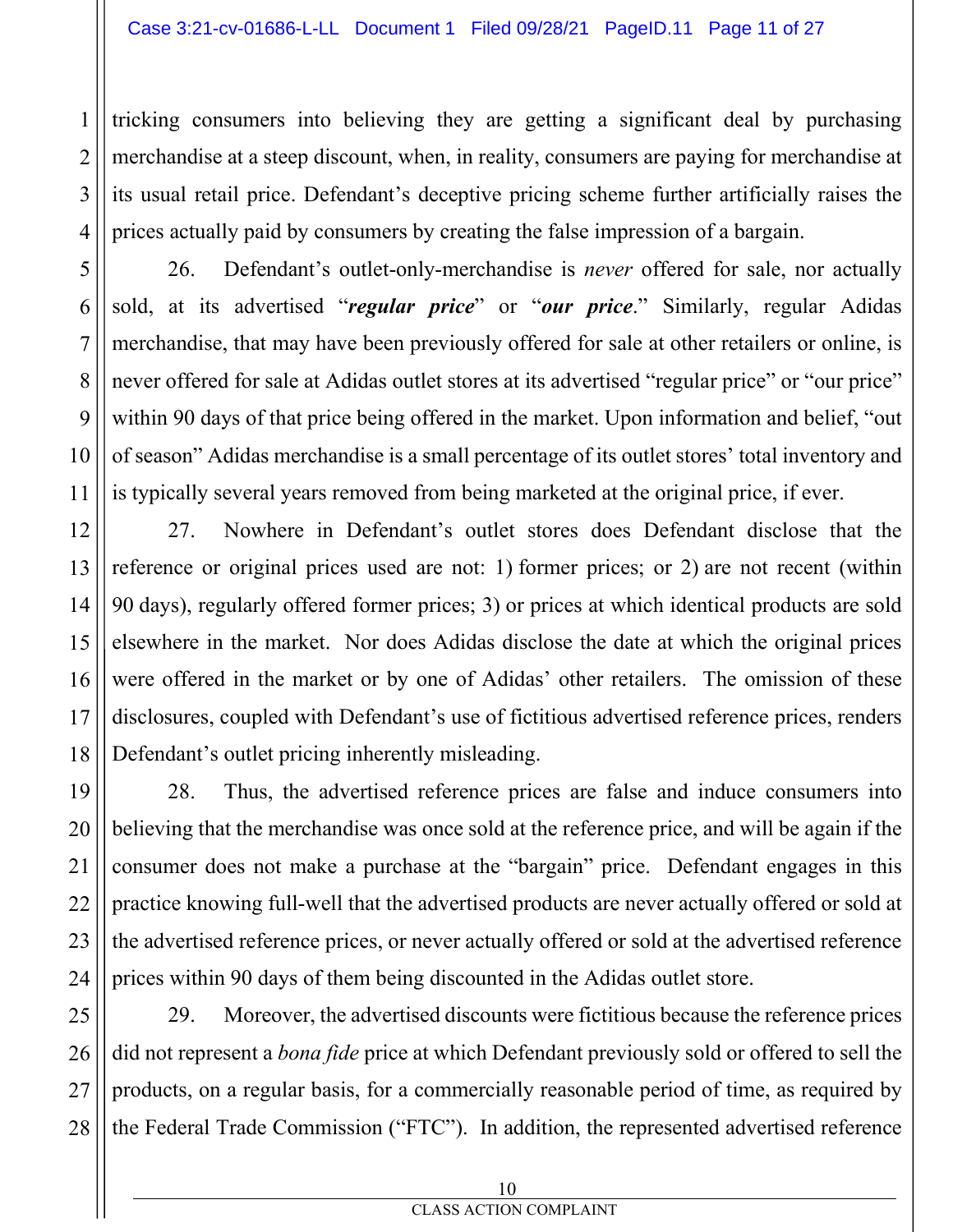tricking consumers into believing they are getting a significant deal by purchasing merchandise at a steep discount, when, in reality, consumers are paying for merchandise at its usual retail price. Defendant's deceptive pricing scheme further artificially raises the prices actually paid by consumers by creating the false impression of a bargain.

26. Defendant's outlet-only-merchandise is *never* offered for sale, nor actually sold, at its advertised "*regular price*" or "*our price*." Similarly, regular Adidas merchandise, that may have been previously offered for sale at other retailers or online, is never offered for sale at Adidas outlet stores at its advertised "regular price" or "our price" within 90 days of that price being offered in the market. Upon information and belief, "out of season" Adidas merchandise is a small percentage of its outlet stores' total inventory and is typically several years removed from being marketed at the original price, if ever.

27. Nowhere in Defendant's outlet stores does Defendant disclose that the reference or original prices used are not: 1) former prices; or 2) are not recent (within 90 days), regularly offered former prices; 3) or prices at which identical products are sold elsewhere in the market. Nor does Adidas disclose the date at which the original prices were offered in the market or by one of Adidas' other retailers. The omission of these disclosures, coupled with Defendant's use of fictitious advertised reference prices, renders Defendant's outlet pricing inherently misleading.

28. Thus, the advertised reference prices are false and induce consumers into believing that the merchandise was once sold at the reference price, and will be again if the consumer does not make a purchase at the "bargain" price. Defendant engages in this practice knowing full-well that the advertised products are never actually offered or sold at the advertised reference prices, or never actually offered or sold at the advertised reference prices within 90 days of them being discounted in the Adidas outlet store.

29. Moreover, the advertised discounts were fictitious because the reference prices did not represent a *bona fide* price at which Defendant previously sold or offered to sell the products, on a regular basis, for a commercially reasonable period of time, as required by the Federal Trade Commission ("FTC"). In addition, the represented advertised reference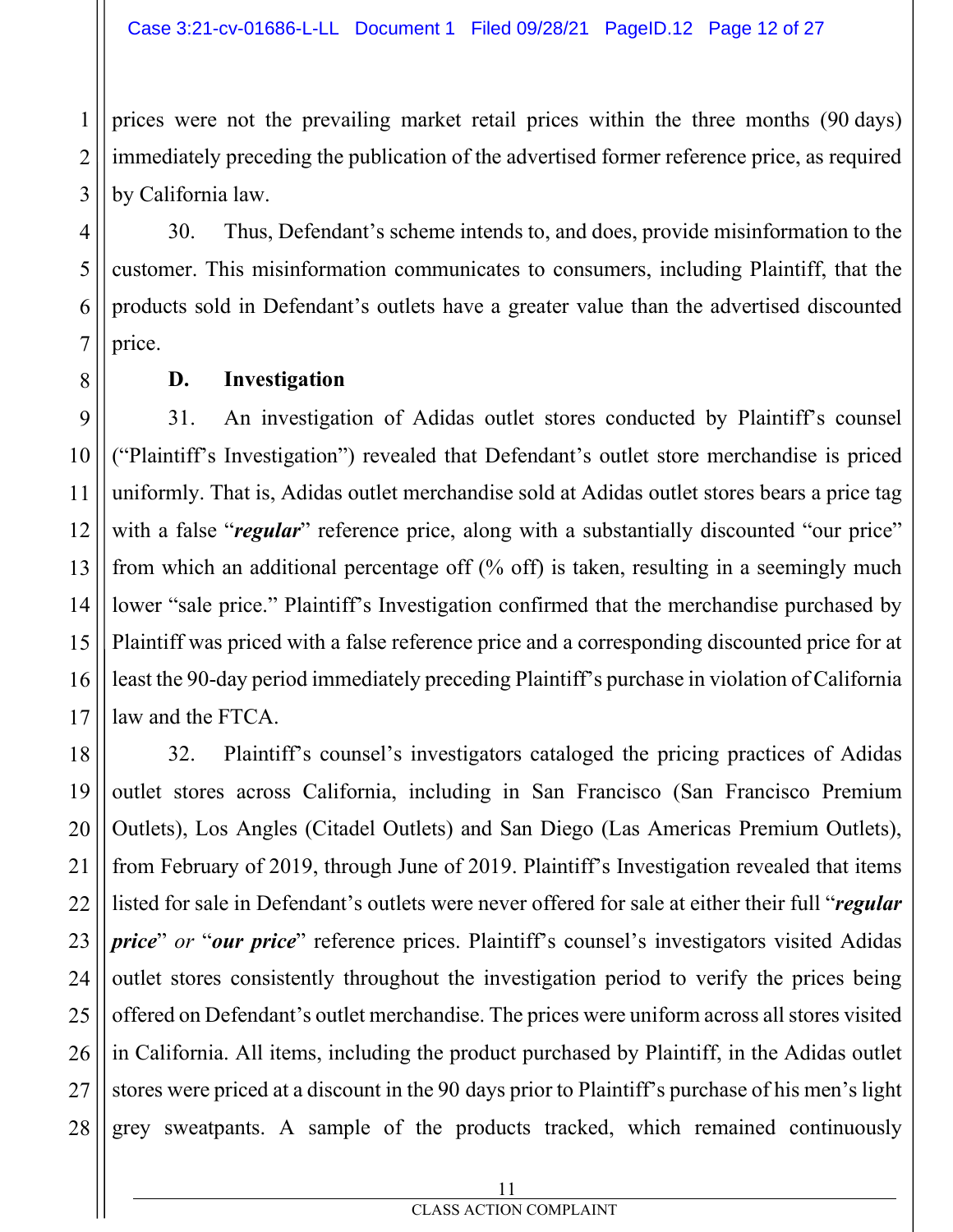prices were not the prevailing market retail prices within the three months (90 days) immediately preceding the publication of the advertised former reference price, as required by California law.

30. Thus, Defendant's scheme intends to, and does, provide misinformation to the customer. This misinformation communicates to consumers, including Plaintiff, that the products sold in Defendant's outlets have a greater value than the advertised discounted price.

**D. Investigation** 

1

2

3

4

5

6

7

8

11

9 10 12 13 14 15 16 17 31. An investigation of Adidas outlet stores conducted by Plaintiff's counsel ("Plaintiff's Investigation") revealed that Defendant's outlet store merchandise is priced uniformly. That is, Adidas outlet merchandise sold at Adidas outlet stores bears a price tag with a false "*regular*" reference price, along with a substantially discounted "our price" from which an additional percentage off (% off) is taken, resulting in a seemingly much lower "sale price." Plaintiff's Investigation confirmed that the merchandise purchased by Plaintiff was priced with a false reference price and a corresponding discounted price for at least the 90-day period immediately preceding Plaintiff's purchase in violation of California law and the FTCA.

18 19 20 21 22 23 24 25 26 27 28 32. Plaintiff's counsel's investigators cataloged the pricing practices of Adidas outlet stores across California, including in San Francisco (San Francisco Premium Outlets), Los Angles (Citadel Outlets) and San Diego (Las Americas Premium Outlets), from February of 2019, through June of 2019. Plaintiff's Investigation revealed that items listed for sale in Defendant's outlets were never offered for sale at either their full "*regular price*" *or* "*our price*" reference prices. Plaintiff's counsel's investigators visited Adidas outlet stores consistently throughout the investigation period to verify the prices being offered on Defendant's outlet merchandise. The prices were uniform across all stores visited in California. All items, including the product purchased by Plaintiff, in the Adidas outlet stores were priced at a discount in the 90 days prior to Plaintiff's purchase of his men's light grey sweatpants. A sample of the products tracked, which remained continuously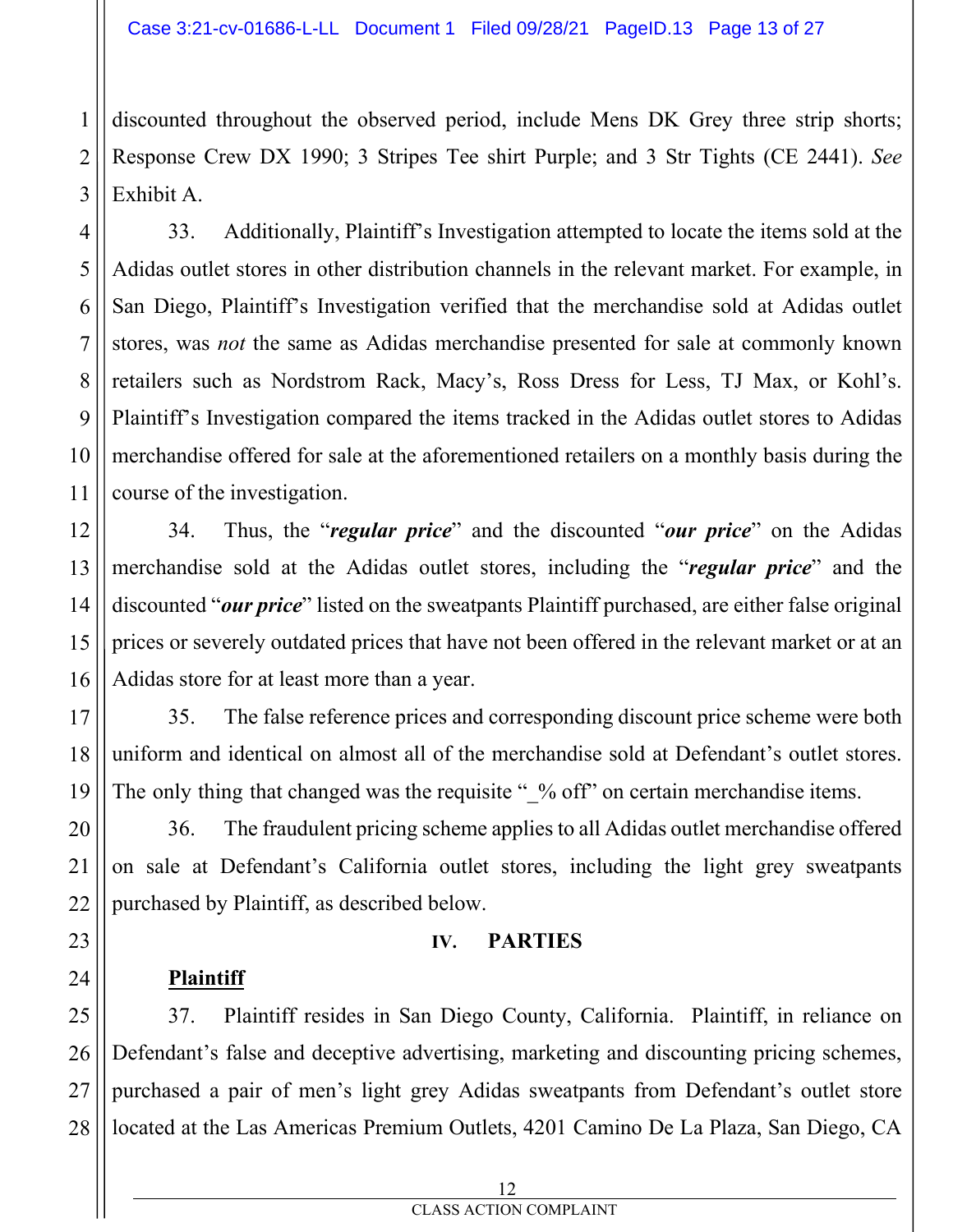discounted throughout the observed period, include Mens DK Grey three strip shorts; Response Crew DX 1990; 3 Stripes Tee shirt Purple; and 3 Str Tights (CE 2441). *See* Exhibit A.

33. Additionally, Plaintiff's Investigation attempted to locate the items sold at the Adidas outlet stores in other distribution channels in the relevant market. For example, in San Diego, Plaintiff's Investigation verified that the merchandise sold at Adidas outlet stores, was *not* the same as Adidas merchandise presented for sale at commonly known retailers such as Nordstrom Rack, Macy's, Ross Dress for Less, TJ Max, or Kohl's. Plaintiff's Investigation compared the items tracked in the Adidas outlet stores to Adidas merchandise offered for sale at the aforementioned retailers on a monthly basis during the course of the investigation.

34. Thus, the "*regular price*" and the discounted "*our price*" on the Adidas merchandise sold at the Adidas outlet stores, including the "*regular price*" and the discounted "*our price*" listed on the sweatpants Plaintiff purchased, are either false original prices or severely outdated prices that have not been offered in the relevant market or at an Adidas store for at least more than a year.

35. The false reference prices and corresponding discount price scheme were both uniform and identical on almost all of the merchandise sold at Defendant's outlet stores. The only thing that changed was the requisite " % off" on certain merchandise items.

36. The fraudulent pricing scheme applies to all Adidas outlet merchandise offered on sale at Defendant's California outlet stores, including the light grey sweatpants purchased by Plaintiff, as described below.

#### **IV. PARTIES**

## **Plaintiff**

1

2

3

4

5

6

7

8

9

10

11

12

13

14

15

16

17

18

19

20

21

22

23

24

25 26 27 28 37. Plaintiff resides in San Diego County, California. Plaintiff, in reliance on Defendant's false and deceptive advertising, marketing and discounting pricing schemes, purchased a pair of men's light grey Adidas sweatpants from Defendant's outlet store located at the Las Americas Premium Outlets, 4201 Camino De La Plaza, San Diego, CA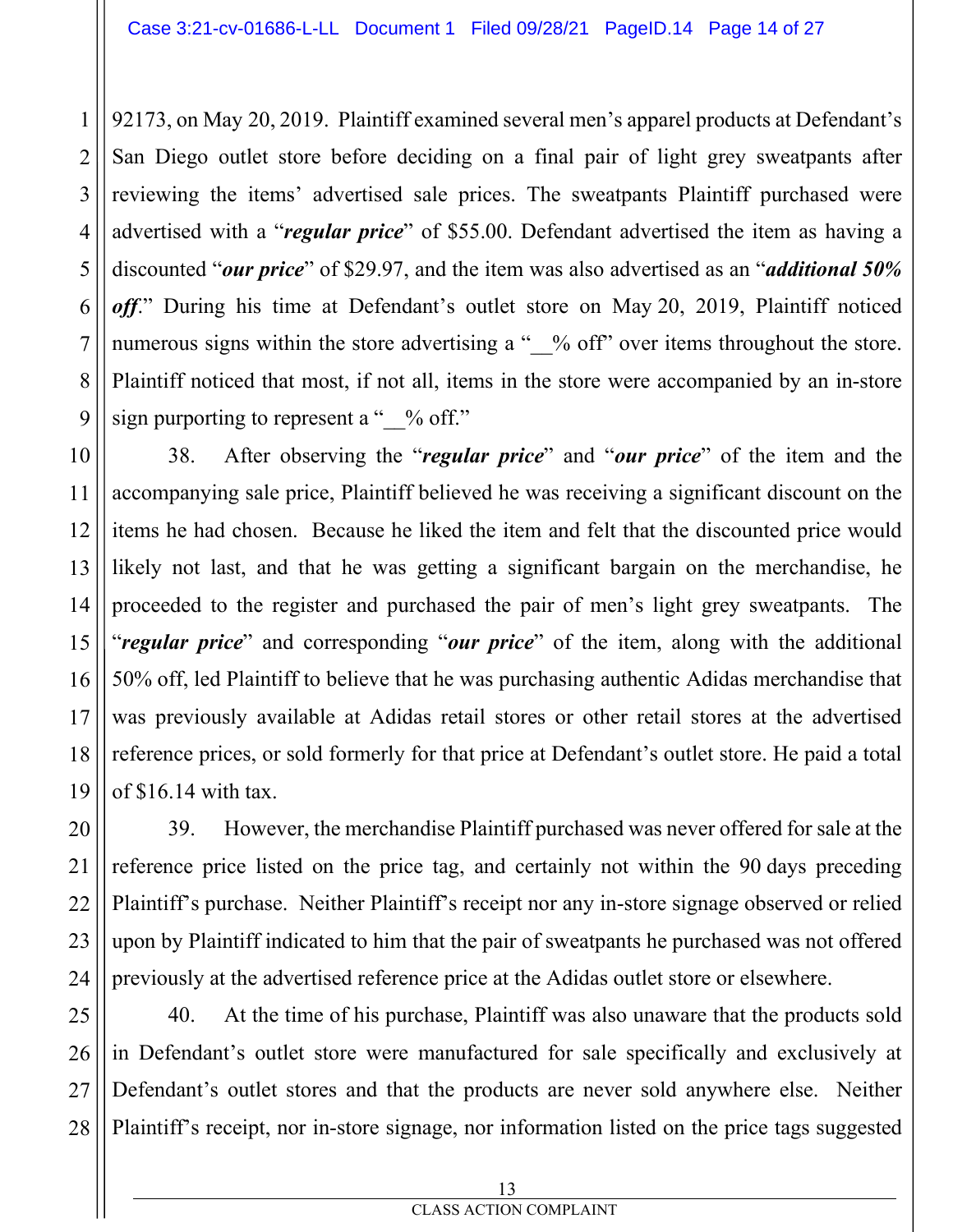92173, on May 20, 2019. Plaintiff examined several men's apparel products at Defendant's San Diego outlet store before deciding on a final pair of light grey sweatpants after reviewing the items' advertised sale prices. The sweatpants Plaintiff purchased were advertised with a "*regular price*" of \$55.00. Defendant advertised the item as having a discounted "*our price*" of \$29.97, and the item was also advertised as an "*additional 50% off*." During his time at Defendant's outlet store on May 20, 2019, Plaintiff noticed numerous signs within the store advertising a "  $\%$  off" over items throughout the store. Plaintiff noticed that most, if not all, items in the store were accompanied by an in-store sign purporting to represent a " $\%$  off."

38. After observing the "*regular price*" and "*our price*" of the item and the accompanying sale price, Plaintiff believed he was receiving a significant discount on the items he had chosen. Because he liked the item and felt that the discounted price would likely not last, and that he was getting a significant bargain on the merchandise, he proceeded to the register and purchased the pair of men's light grey sweatpants. The "*regular price*" and corresponding "*our price*" of the item, along with the additional 50% off, led Plaintiff to believe that he was purchasing authentic Adidas merchandise that was previously available at Adidas retail stores or other retail stores at the advertised reference prices, or sold formerly for that price at Defendant's outlet store. He paid a total of \$16.14 with tax.

39. However, the merchandise Plaintiff purchased was never offered for sale at the reference price listed on the price tag, and certainly not within the 90 days preceding Plaintiff's purchase. Neither Plaintiff's receipt nor any in-store signage observed or relied upon by Plaintiff indicated to him that the pair of sweatpants he purchased was not offered previously at the advertised reference price at the Adidas outlet store or elsewhere.

40. At the time of his purchase, Plaintiff was also unaware that the products sold in Defendant's outlet store were manufactured for sale specifically and exclusively at Defendant's outlet stores and that the products are never sold anywhere else. Neither Plaintiff's receipt, nor in-store signage, nor information listed on the price tags suggested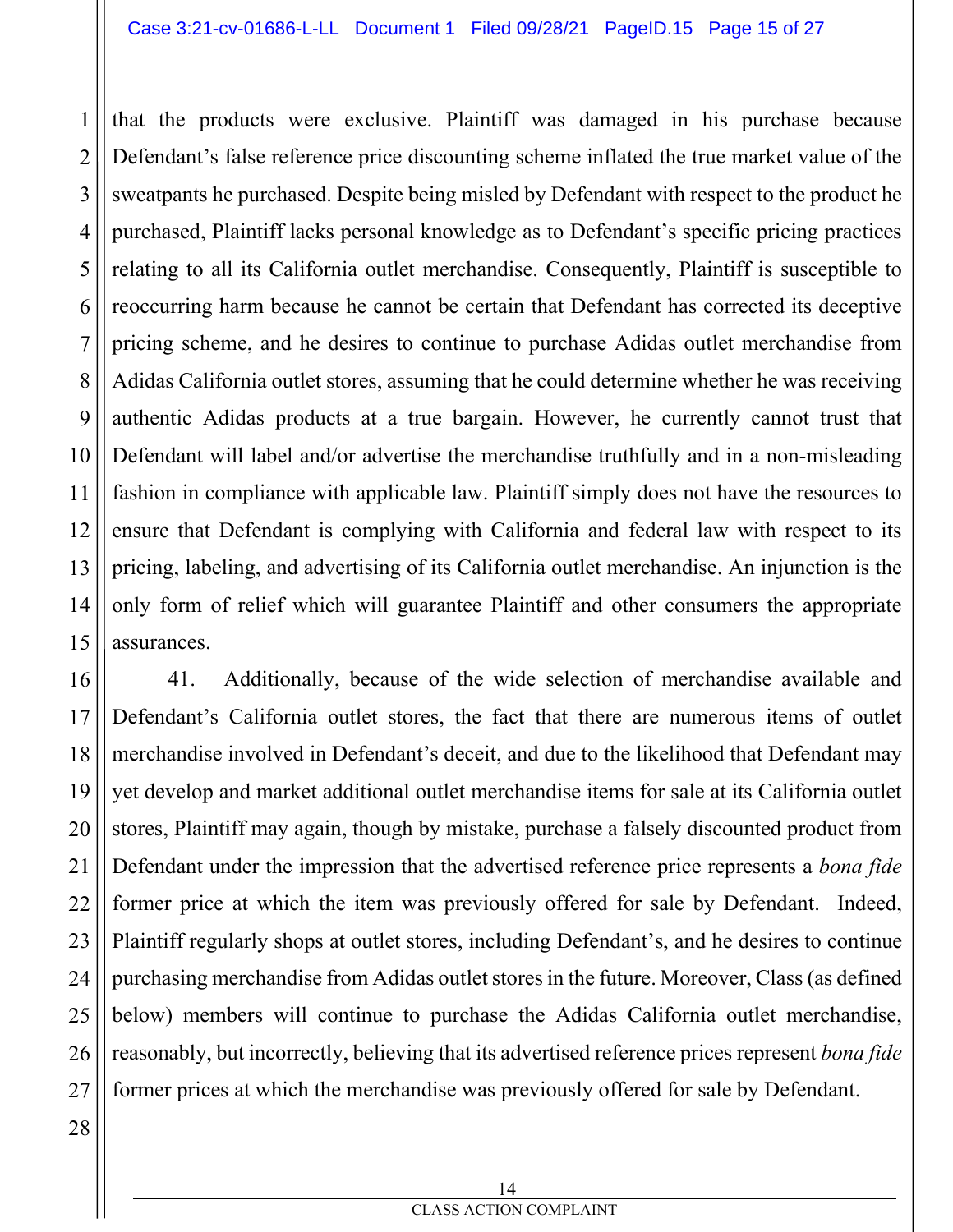that the products were exclusive. Plaintiff was damaged in his purchase because Defendant's false reference price discounting scheme inflated the true market value of the sweatpants he purchased. Despite being misled by Defendant with respect to the product he purchased, Plaintiff lacks personal knowledge as to Defendant's specific pricing practices relating to all its California outlet merchandise. Consequently, Plaintiff is susceptible to reoccurring harm because he cannot be certain that Defendant has corrected its deceptive pricing scheme, and he desires to continue to purchase Adidas outlet merchandise from Adidas California outlet stores, assuming that he could determine whether he was receiving authentic Adidas products at a true bargain. However, he currently cannot trust that Defendant will label and/or advertise the merchandise truthfully and in a non-misleading fashion in compliance with applicable law. Plaintiff simply does not have the resources to ensure that Defendant is complying with California and federal law with respect to its pricing, labeling, and advertising of its California outlet merchandise. An injunction is the only form of relief which will guarantee Plaintiff and other consumers the appropriate assurances.

16 17 18 19 20 22 23 24 25 26 27 41. Additionally, because of the wide selection of merchandise available and Defendant's California outlet stores, the fact that there are numerous items of outlet merchandise involved in Defendant's deceit, and due to the likelihood that Defendant may yet develop and market additional outlet merchandise items for sale at its California outlet stores, Plaintiff may again, though by mistake, purchase a falsely discounted product from Defendant under the impression that the advertised reference price represents a *bona fide*  former price at which the item was previously offered for sale by Defendant. Indeed, Plaintiff regularly shops at outlet stores, including Defendant's, and he desires to continue purchasing merchandise from Adidas outlet stores in the future. Moreover, Class(as defined below) members will continue to purchase the Adidas California outlet merchandise, reasonably, but incorrectly, believing that its advertised reference prices represent *bona fide*  former prices at which the merchandise was previously offered for sale by Defendant.

28

1

2

3

4

5

6

7

8

9

10

11

12

13

14

15

CLASS ACTION COMPLAINT 14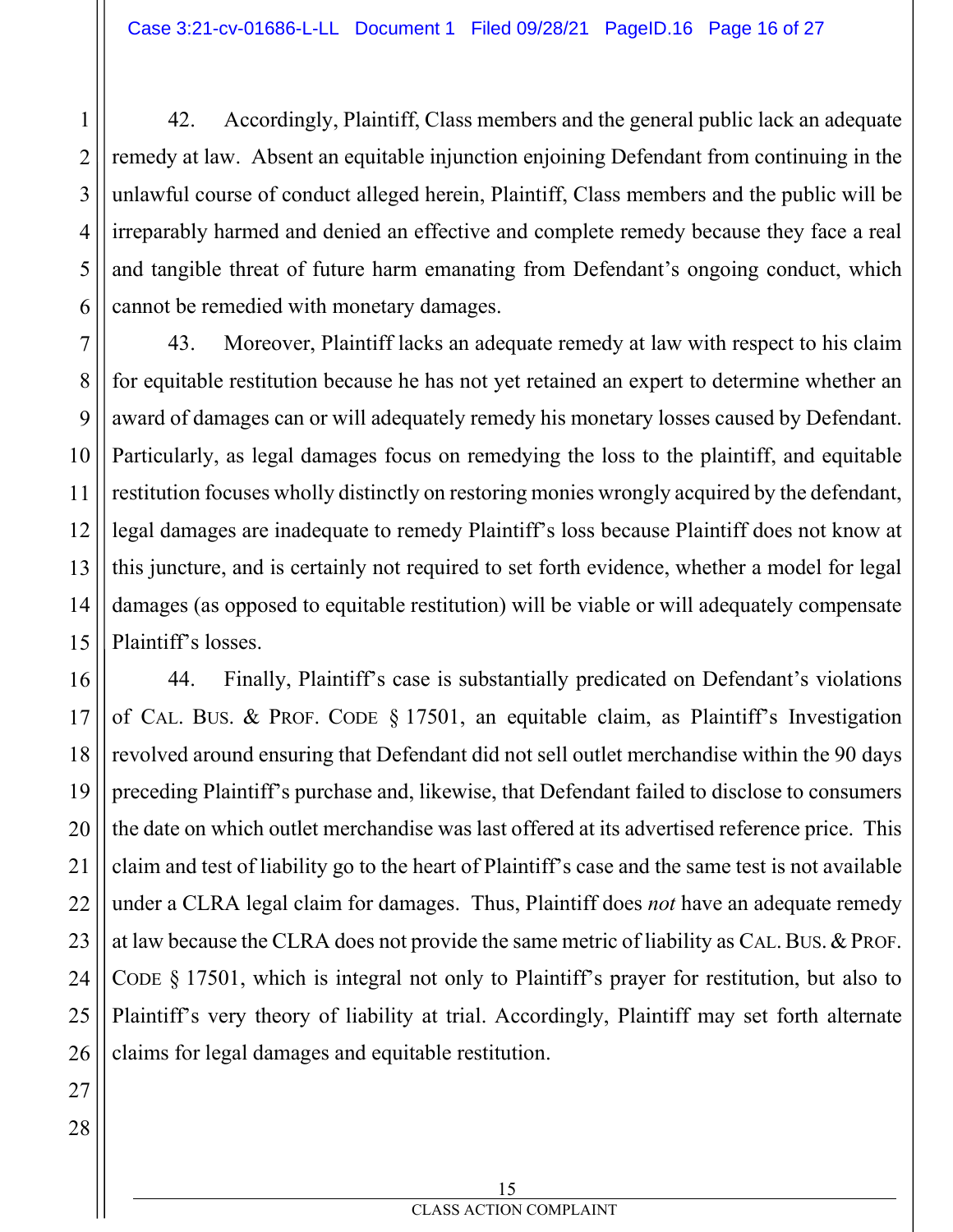42. Accordingly, Plaintiff, Class members and the general public lack an adequate remedy at law. Absent an equitable injunction enjoining Defendant from continuing in the unlawful course of conduct alleged herein, Plaintiff, Class members and the public will be irreparably harmed and denied an effective and complete remedy because they face a real and tangible threat of future harm emanating from Defendant's ongoing conduct, which cannot be remedied with monetary damages.

43. Moreover, Plaintiff lacks an adequate remedy at law with respect to his claim for equitable restitution because he has not yet retained an expert to determine whether an award of damages can or will adequately remedy his monetary losses caused by Defendant. Particularly, as legal damages focus on remedying the loss to the plaintiff, and equitable restitution focuses wholly distinctly on restoring monies wrongly acquired by the defendant, legal damages are inadequate to remedy Plaintiff's loss because Plaintiff does not know at this juncture, and is certainly not required to set forth evidence, whether a model for legal damages (as opposed to equitable restitution) will be viable or will adequately compensate Plaintiff's losses.

44. Finally, Plaintiff's case is substantially predicated on Defendant's violations of CAL. BUS. & PROF. CODE § 17501, an equitable claim, as Plaintiff's Investigation revolved around ensuring that Defendant did not sell outlet merchandise within the 90 days preceding Plaintiff's purchase and, likewise, that Defendant failed to disclose to consumers the date on which outlet merchandise was last offered at its advertised reference price. This claim and test of liability go to the heart of Plaintiff's case and the same test is not available under a CLRA legal claim for damages. Thus, Plaintiff does *not* have an adequate remedy at law because the CLRA does not provide the same metric of liability as CAL.BUS.&PROF. CODE § 17501, which is integral not only to Plaintiff's prayer for restitution, but also to Plaintiff's very theory of liability at trial. Accordingly, Plaintiff may set forth alternate claims for legal damages and equitable restitution.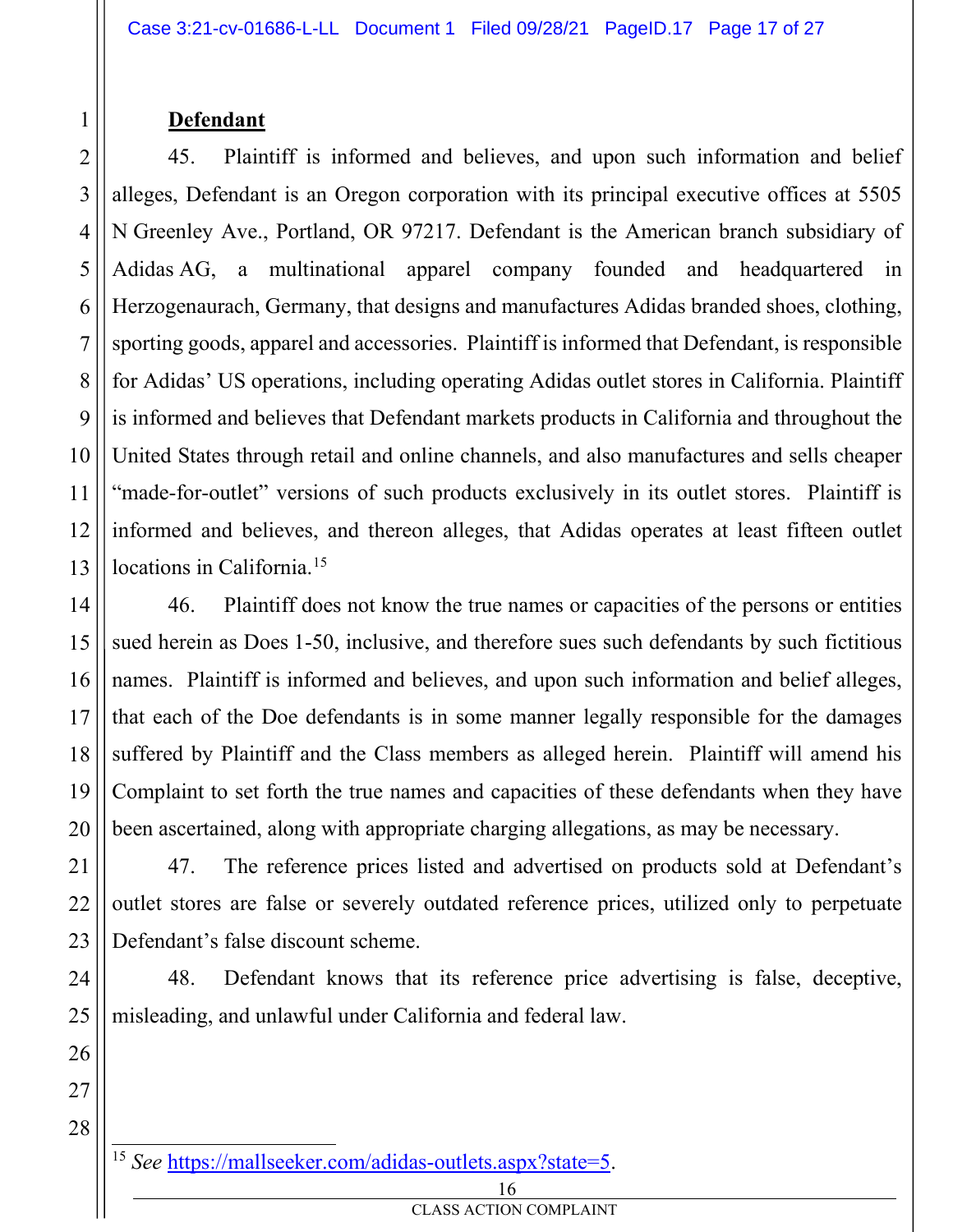#### **Defendant**

1

2

3

4

5

6

7

8

9

10

11

12

13

14

15

17

18

19

20

21

22

23

24

25

26

27

45. Plaintiff is informed and believes, and upon such information and belief alleges, Defendant is an Oregon corporation with its principal executive offices at 5505 N Greenley Ave., Portland, OR 97217. Defendant is the American branch subsidiary of Adidas AG, a multinational apparel company founded and headquartered in Herzogenaurach, Germany, that designs and manufactures Adidas branded shoes, clothing, sporting goods, apparel and accessories. Plaintiff is informed that Defendant, is responsible for Adidas' US operations, including operating Adidas outlet stores in California. Plaintiff is informed and believes that Defendant markets products in California and throughout the United States through retail and online channels, and also manufactures and sells cheaper "made-for-outlet" versions of such products exclusively in its outlet stores. Plaintiff is informed and believes, and thereon alleges, that Adidas operates at least fifteen outlet locations in California.<sup>15</sup>

16 46. Plaintiff does not know the true names or capacities of the persons or entities sued herein as Does 1-50, inclusive, and therefore sues such defendants by such fictitious names. Plaintiff is informed and believes, and upon such information and belief alleges, that each of the Doe defendants is in some manner legally responsible for the damages suffered by Plaintiff and the Class members as alleged herein. Plaintiff will amend his Complaint to set forth the true names and capacities of these defendants when they have been ascertained, along with appropriate charging allegations, as may be necessary.

47. The reference prices listed and advertised on products sold at Defendant's outlet stores are false or severely outdated reference prices, utilized only to perpetuate Defendant's false discount scheme.

48. Defendant knows that its reference price advertising is false, deceptive, misleading, and unlawful under California and federal law.

<sup>15</sup> *See* https://mallseeker.com/adidas-outlets.aspx?state=5.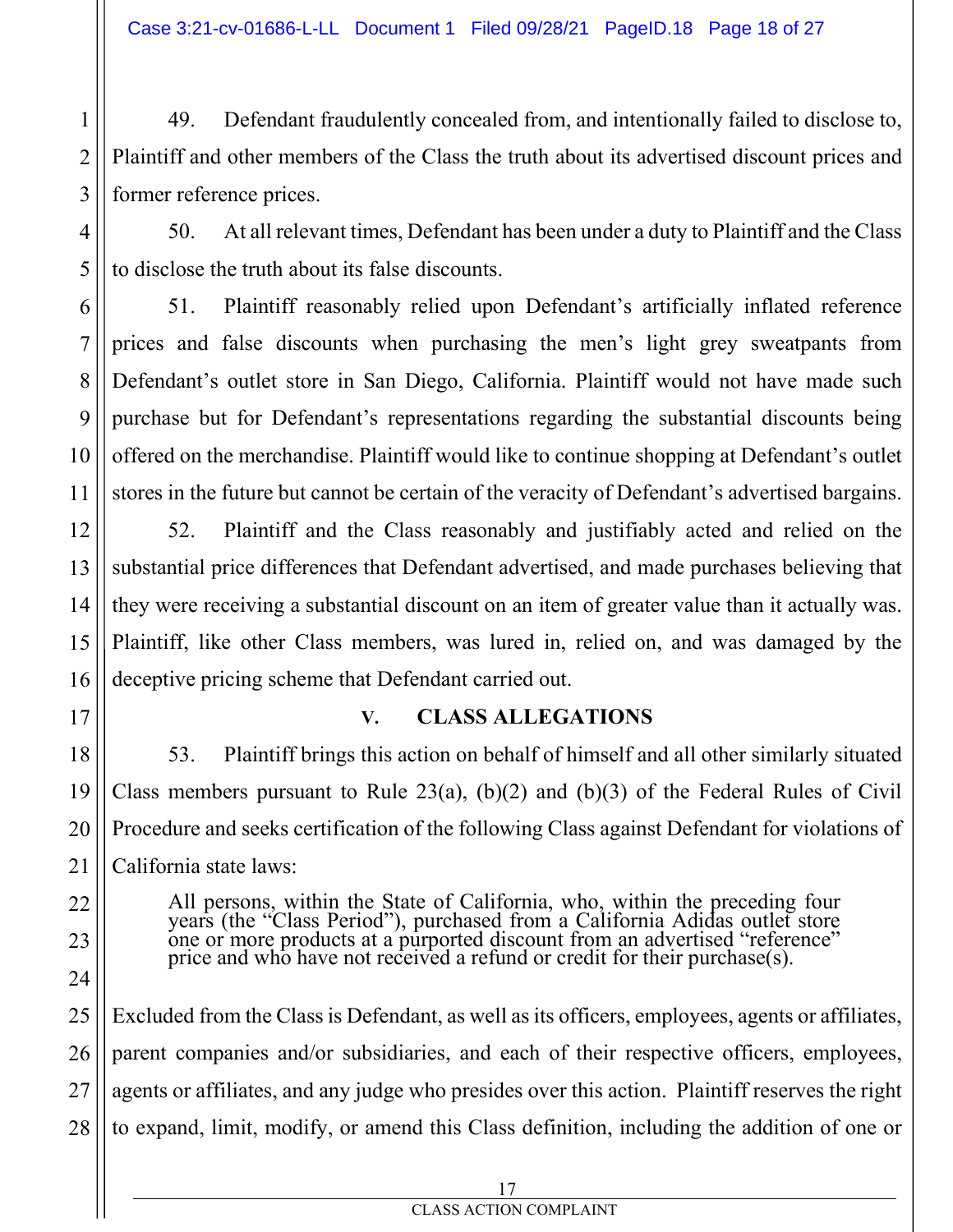49. Defendant fraudulently concealed from, and intentionally failed to disclose to, Plaintiff and other members of the Class the truth about its advertised discount prices and former reference prices.

50. At all relevant times, Defendant has been under a duty to Plaintiff and the Class to disclose the truth about its false discounts.

51. Plaintiff reasonably relied upon Defendant's artificially inflated reference prices and false discounts when purchasing the men's light grey sweatpants from Defendant's outlet store in San Diego, California. Plaintiff would not have made such purchase but for Defendant's representations regarding the substantial discounts being offered on the merchandise. Plaintiff would like to continue shopping at Defendant's outlet stores in the future but cannot be certain of the veracity of Defendant's advertised bargains.

52. Plaintiff and the Class reasonably and justifiably acted and relied on the substantial price differences that Defendant advertised, and made purchases believing that they were receiving a substantial discount on an item of greater value than it actually was. Plaintiff, like other Class members, was lured in, relied on, and was damaged by the deceptive pricing scheme that Defendant carried out.

1

2

3

4

5

6

7

8

9

10

11

12

13

14

15

16

17

18

19

20

21

22

23

24

#### **V. CLASS ALLEGATIONS**

53. Plaintiff brings this action on behalf of himself and all other similarly situated Class members pursuant to Rule  $23(a)$ ,  $(b)(2)$  and  $(b)(3)$  of the Federal Rules of Civil Procedure and seeks certification of the following Class against Defendant for violations of California state laws:

All persons, within the State of California, who, within the preceding four years (the "Class Period"), purchased from a California Adidas outlet store one or more products at a purported discount from an advertised "reference" price and who have not received a refund or credit for their purchase(s).

25 26 27 28 Excluded from the Class is Defendant, as well as its officers, employees, agents or affiliates, parent companies and/or subsidiaries, and each of their respective officers, employees, agents or affiliates, and any judge who presides over this action. Plaintiff reserves the right to expand, limit, modify, or amend this Class definition, including the addition of one or

#### CLASS ACTION COMPLAINT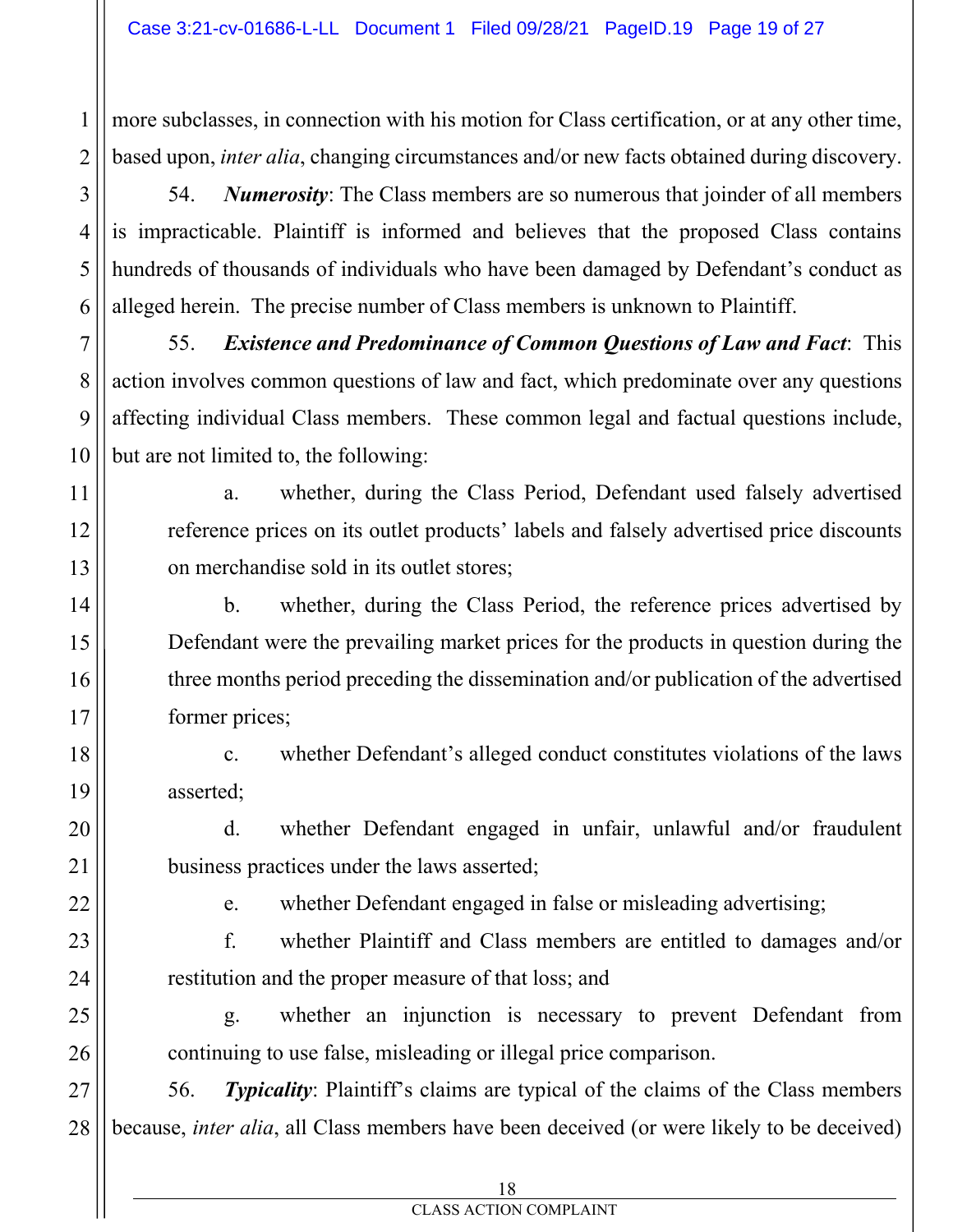more subclasses, in connection with his motion for Class certification, or at any other time, based upon, *inter alia*, changing circumstances and/or new facts obtained during discovery.

54. *Numerosity*: The Class members are so numerous that joinder of all members is impracticable. Plaintiff is informed and believes that the proposed Class contains hundreds of thousands of individuals who have been damaged by Defendant's conduct as alleged herein. The precise number of Class members is unknown to Plaintiff.

55. *Existence and Predominance of Common Questions of Law and Fact*: This action involves common questions of law and fact, which predominate over any questions affecting individual Class members. These common legal and factual questions include, but are not limited to, the following:

a. whether, during the Class Period, Defendant used falsely advertised reference prices on its outlet products' labels and falsely advertised price discounts on merchandise sold in its outlet stores;

b. whether, during the Class Period, the reference prices advertised by Defendant were the prevailing market prices for the products in question during the three months period preceding the dissemination and/or publication of the advertised former prices;

c. whether Defendant's alleged conduct constitutes violations of the laws asserted;

d. whether Defendant engaged in unfair, unlawful and/or fraudulent business practices under the laws asserted;

e. whether Defendant engaged in false or misleading advertising;

f. whether Plaintiff and Class members are entitled to damages and/or restitution and the proper measure of that loss; and

g. whether an injunction is necessary to prevent Defendant from continuing to use false, misleading or illegal price comparison.

27 28 56. *Typicality*: Plaintiff's claims are typical of the claims of the Class members because, *inter alia*, all Class members have been deceived (or were likely to be deceived)

1

2

3

4

5

6

7

8

9

10

11

12

13

14

15

16

17

18

19

20

21

22

23

24

25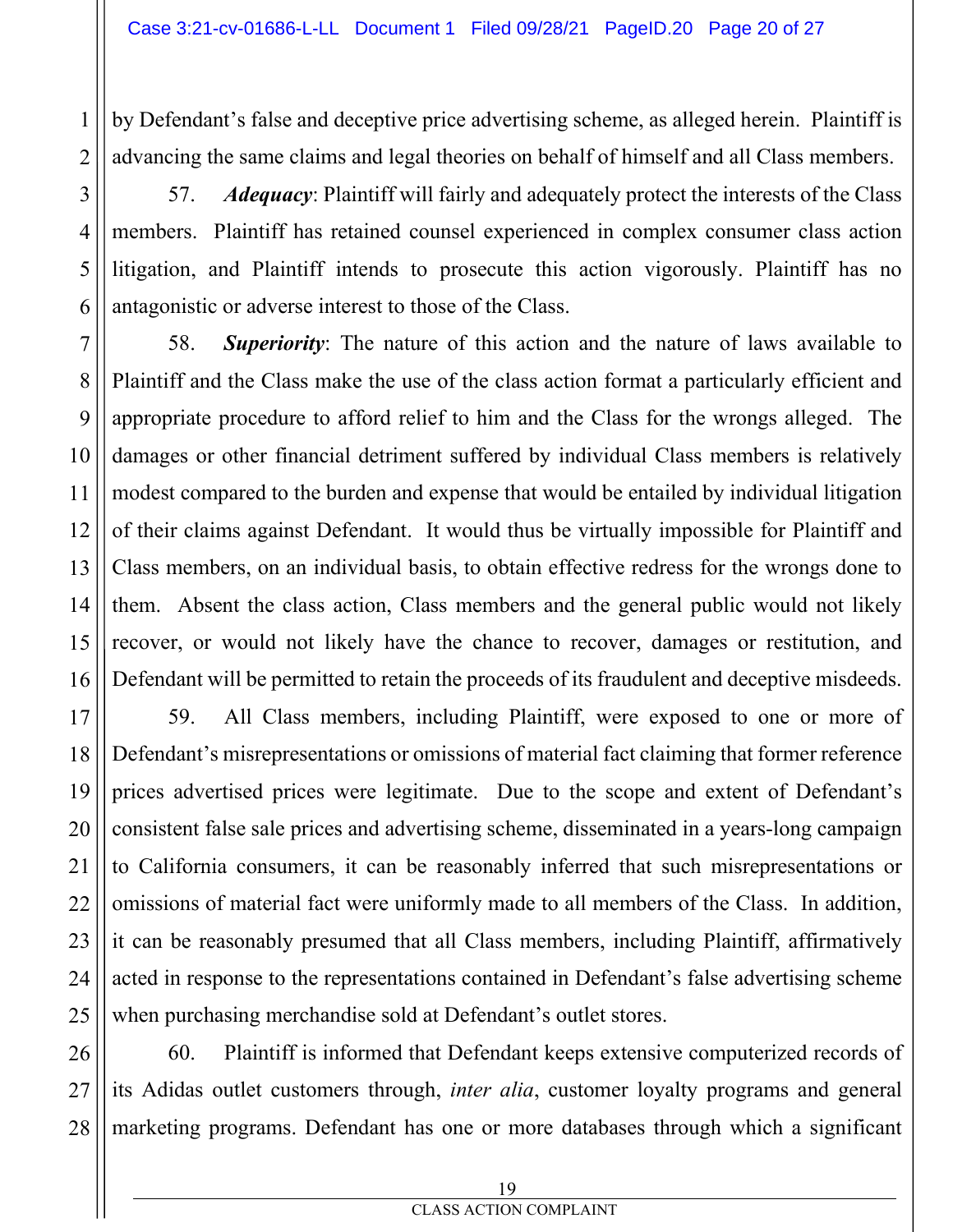by Defendant's false and deceptive price advertising scheme, as alleged herein. Plaintiff is advancing the same claims and legal theories on behalf of himself and all Class members.

57. *Adequacy*: Plaintiff will fairly and adequately protect the interests of the Class members. Plaintiff has retained counsel experienced in complex consumer class action litigation, and Plaintiff intends to prosecute this action vigorously. Plaintiff has no antagonistic or adverse interest to those of the Class.

58. *Superiority*: The nature of this action and the nature of laws available to Plaintiff and the Class make the use of the class action format a particularly efficient and appropriate procedure to afford relief to him and the Class for the wrongs alleged. The damages or other financial detriment suffered by individual Class members is relatively modest compared to the burden and expense that would be entailed by individual litigation of their claims against Defendant. It would thus be virtually impossible for Plaintiff and Class members, on an individual basis, to obtain effective redress for the wrongs done to them. Absent the class action, Class members and the general public would not likely recover, or would not likely have the chance to recover, damages or restitution, and Defendant will be permitted to retain the proceeds of its fraudulent and deceptive misdeeds.

59. All Class members, including Plaintiff, were exposed to one or more of Defendant's misrepresentations or omissions of material fact claiming that former reference prices advertised prices were legitimate. Due to the scope and extent of Defendant's consistent false sale prices and advertising scheme, disseminated in a years-long campaign to California consumers, it can be reasonably inferred that such misrepresentations or omissions of material fact were uniformly made to all members of the Class. In addition, it can be reasonably presumed that all Class members, including Plaintiff, affirmatively acted in response to the representations contained in Defendant's false advertising scheme when purchasing merchandise sold at Defendant's outlet stores.

60. Plaintiff is informed that Defendant keeps extensive computerized records of its Adidas outlet customers through, *inter alia*, customer loyalty programs and general marketing programs. Defendant has one or more databases through which a significant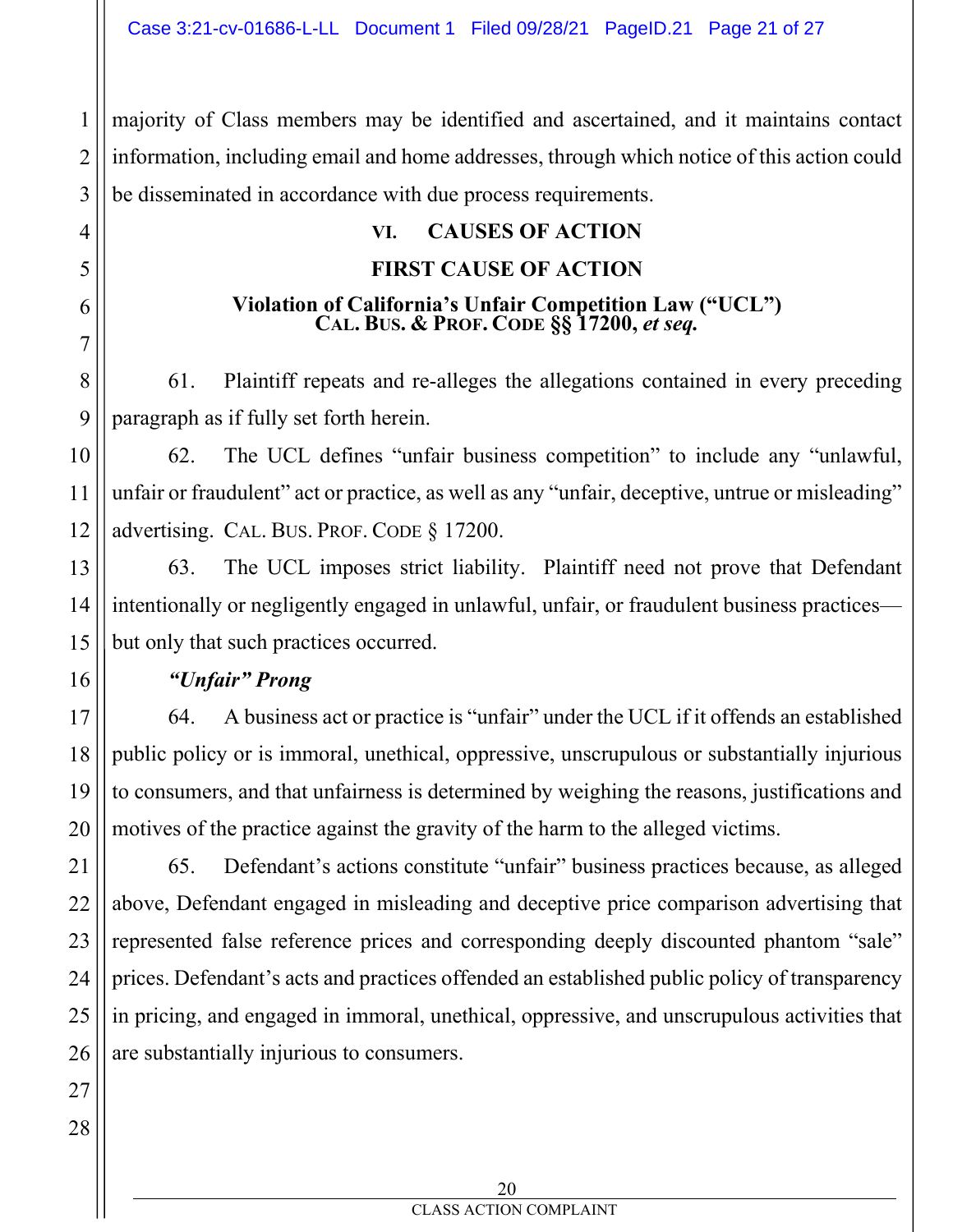majority of Class members may be identified and ascertained, and it maintains contact information, including email and home addresses, through which notice of this action could be disseminated in accordance with due process requirements.

#### **VI. CAUSES OF ACTION**

#### **FIRST CAUSE OF ACTION**

## **Violation of California's Unfair Competition Law ("UCL") CAL. BUS. & PROF. CODE §§ 17200,** *et seq.*

61. Plaintiff repeats and re-alleges the allegations contained in every preceding paragraph as if fully set forth herein.

62. The UCL defines "unfair business competition" to include any "unlawful, unfair or fraudulent" act or practice, as well as any "unfair, deceptive, untrue or misleading" advertising. CAL. BUS. PROF. CODE § 17200.

63. The UCL imposes strict liability. Plaintiff need not prove that Defendant intentionally or negligently engaged in unlawful, unfair, or fraudulent business practices but only that such practices occurred.

#### *"Unfair" Prong*

64. A business act or practice is "unfair" under the UCL if it offends an established public policy or is immoral, unethical, oppressive, unscrupulous or substantially injurious to consumers, and that unfairness is determined by weighing the reasons, justifications and motives of the practice against the gravity of the harm to the alleged victims.

65. Defendant's actions constitute "unfair" business practices because, as alleged above, Defendant engaged in misleading and deceptive price comparison advertising that represented false reference prices and corresponding deeply discounted phantom "sale" prices. Defendant's acts and practices offended an established public policy of transparency in pricing, and engaged in immoral, unethical, oppressive, and unscrupulous activities that are substantially injurious to consumers.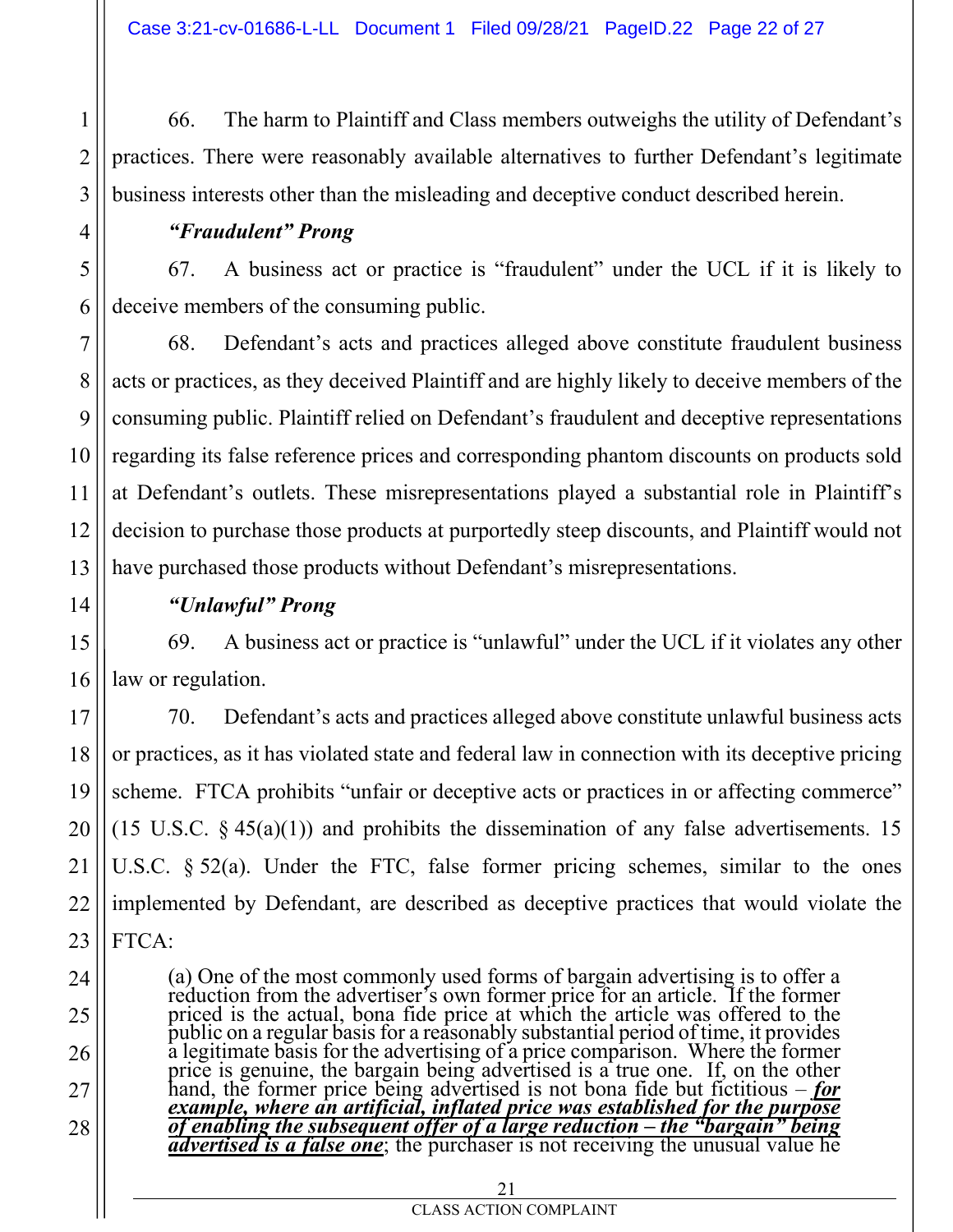66. The harm to Plaintiff and Class members outweighs the utility of Defendant's practices. There were reasonably available alternatives to further Defendant's legitimate business interests other than the misleading and deceptive conduct described herein.

#### *"Fraudulent" Prong*

67. A business act or practice is "fraudulent" under the UCL if it is likely to deceive members of the consuming public.

68. Defendant's acts and practices alleged above constitute fraudulent business acts or practices, as they deceived Plaintiff and are highly likely to deceive members of the consuming public. Plaintiff relied on Defendant's fraudulent and deceptive representations regarding its false reference prices and corresponding phantom discounts on products sold at Defendant's outlets. These misrepresentations played a substantial role in Plaintiff's decision to purchase those products at purportedly steep discounts, and Plaintiff would not have purchased those products without Defendant's misrepresentations.

### *"Unlawful" Prong*

69. A business act or practice is "unlawful" under the UCL if it violates any other law or regulation.

70. Defendant's acts and practices alleged above constitute unlawful business acts or practices, as it has violated state and federal law in connection with its deceptive pricing scheme. FTCA prohibits "unfair or deceptive acts or practices in or affecting commerce" (15 U.S.C.  $\S$  45(a)(1)) and prohibits the dissemination of any false advertisements. 15 U.S.C.  $\S 52(a)$ . Under the FTC, false former pricing schemes, similar to the ones implemented by Defendant, are described as deceptive practices that would violate the FTCA:

(a) One of the most commonly used forms of bargain advertising is to offer a reduction from the advertiser's own former price for an article. If the former priced is the actual, bona fide price at which the article was offered to the public on a regular basis for a reasonably substantial period of time, it provides a legitimate basis for the advertising of a price comparison. Where the former price is genuine, the bargain being advertised is a true one. If, on the other<br>hand, the former price being advertised is not bona fide but fictitious – <u>for</u><br>example, where an artificial, inflated price was established fo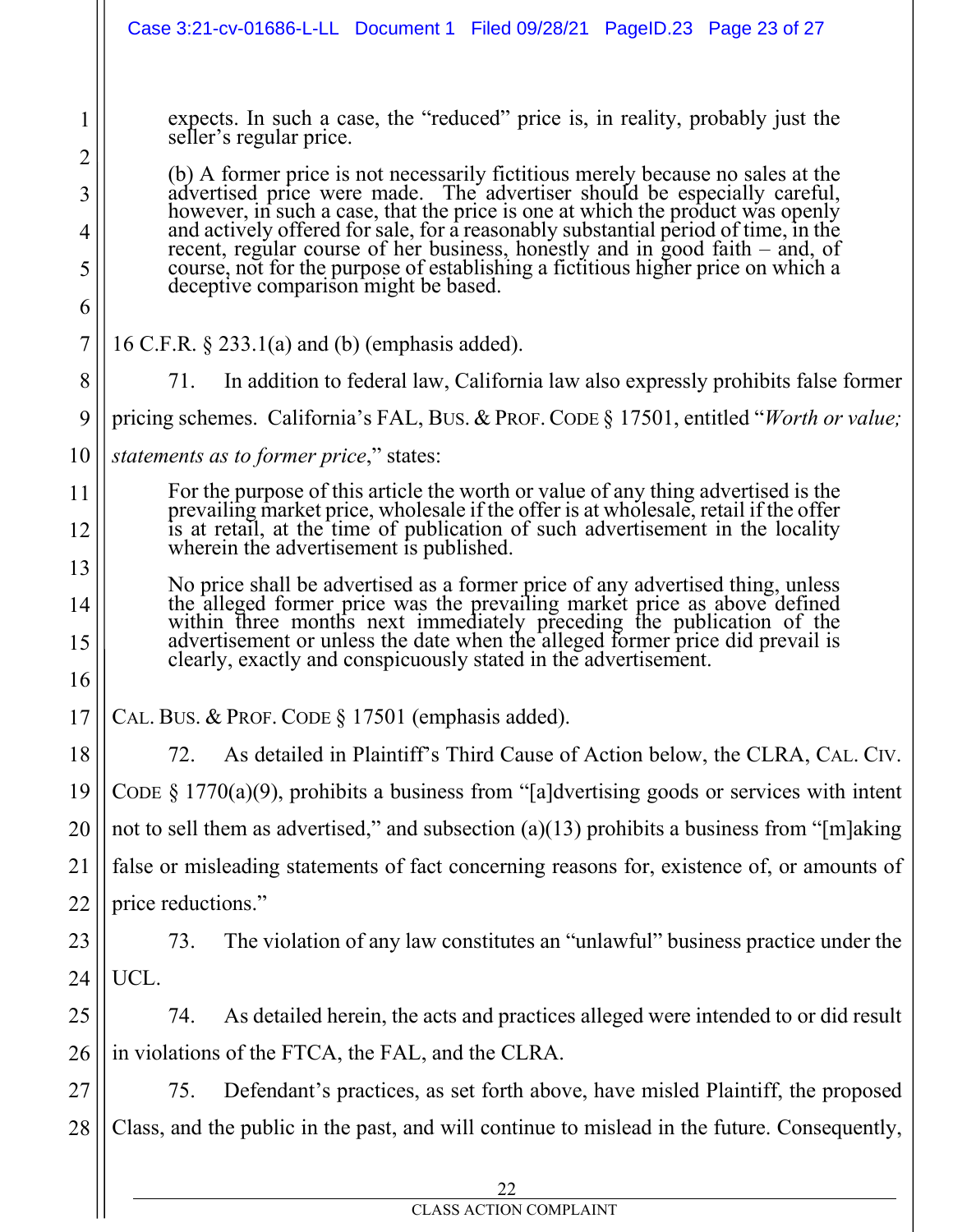|                            | Case 3:21-cv-01686-L-LL Document 1 Filed 09/28/21 PageID.23 Page 23 of 27                                                                                                                                                                                                                                                                                                                                                                                                                                                                                                                                                                                    |  |  |
|----------------------------|--------------------------------------------------------------------------------------------------------------------------------------------------------------------------------------------------------------------------------------------------------------------------------------------------------------------------------------------------------------------------------------------------------------------------------------------------------------------------------------------------------------------------------------------------------------------------------------------------------------------------------------------------------------|--|--|
| 1<br>2<br>3<br>4<br>5<br>6 | expects. In such a case, the "reduced" price is, in reality, probably just the<br>seller's regular price.<br>(b) A former price is not necessarily fictitious merely because no sales at the<br>advertised price were made. The advertiser should be especially careful,<br>however, in such a case, that the price is one at which the product was openly<br>and actively offered for sale, for a reasonably substantial period of time, in the<br>recent, regular course of her business, honestly and in good faith – and, of<br>course, not for the purpose of establishing a fictitious higher price on which a<br>deceptive comparison might be based. |  |  |
| 7                          | 16 C.F.R. $\S$ 233.1(a) and (b) (emphasis added).                                                                                                                                                                                                                                                                                                                                                                                                                                                                                                                                                                                                            |  |  |
| 8                          | In addition to federal law, California law also expressly prohibits false former<br>71.                                                                                                                                                                                                                                                                                                                                                                                                                                                                                                                                                                      |  |  |
| 9                          | pricing schemes. California's FAL, BUS. & PROF. CODE § 17501, entitled "Worth or value;                                                                                                                                                                                                                                                                                                                                                                                                                                                                                                                                                                      |  |  |
| 10                         | statements as to former price," states:                                                                                                                                                                                                                                                                                                                                                                                                                                                                                                                                                                                                                      |  |  |
| 11                         | For the purpose of this article the worth or value of any thing advertised is the prevailing market price, wholesale if the offer is at wholesale, retail if the offer                                                                                                                                                                                                                                                                                                                                                                                                                                                                                       |  |  |
| 12                         | is at retail, at the time of publication of such advertisement in the locality<br>wherein the advertisement is published.                                                                                                                                                                                                                                                                                                                                                                                                                                                                                                                                    |  |  |
| 13<br>14<br>15             | No price shall be advertised as a former price of any advertised thing, unless<br>the alleged former price was the prevailing market price as above defined<br>within three months next immediately preceding the publication of the advertisement or unless the date when the alleged former price did prevail is<br>clearly, exactly and conspicuously stated in the advertisement.                                                                                                                                                                                                                                                                        |  |  |
| 16                         |                                                                                                                                                                                                                                                                                                                                                                                                                                                                                                                                                                                                                                                              |  |  |
| 17                         | CAL. BUS. & PROF. CODE § 17501 (emphasis added).                                                                                                                                                                                                                                                                                                                                                                                                                                                                                                                                                                                                             |  |  |
| 18                         | As detailed in Plaintiff's Third Cause of Action below, the CLRA, CAL. CIV.<br>72.                                                                                                                                                                                                                                                                                                                                                                                                                                                                                                                                                                           |  |  |
| 19                         | CODE $\S$ 1770(a)(9), prohibits a business from "[a]dvertising goods or services with intent                                                                                                                                                                                                                                                                                                                                                                                                                                                                                                                                                                 |  |  |
| 20                         | not to sell them as advertised," and subsection (a)(13) prohibits a business from "[m]aking                                                                                                                                                                                                                                                                                                                                                                                                                                                                                                                                                                  |  |  |
| 21                         | false or misleading statements of fact concerning reasons for, existence of, or amounts of                                                                                                                                                                                                                                                                                                                                                                                                                                                                                                                                                                   |  |  |
| 22                         | price reductions."                                                                                                                                                                                                                                                                                                                                                                                                                                                                                                                                                                                                                                           |  |  |
| 23                         | The violation of any law constitutes an "unlawful" business practice under the<br>73.                                                                                                                                                                                                                                                                                                                                                                                                                                                                                                                                                                        |  |  |
| 24                         | UCL.                                                                                                                                                                                                                                                                                                                                                                                                                                                                                                                                                                                                                                                         |  |  |
| 25                         | As detailed herein, the acts and practices alleged were intended to or did result<br>74.                                                                                                                                                                                                                                                                                                                                                                                                                                                                                                                                                                     |  |  |
| 26                         | in violations of the FTCA, the FAL, and the CLRA.                                                                                                                                                                                                                                                                                                                                                                                                                                                                                                                                                                                                            |  |  |
| 27                         | Defendant's practices, as set forth above, have misled Plaintiff, the proposed<br>75.                                                                                                                                                                                                                                                                                                                                                                                                                                                                                                                                                                        |  |  |
| 28                         | Class, and the public in the past, and will continue to mislead in the future. Consequently,                                                                                                                                                                                                                                                                                                                                                                                                                                                                                                                                                                 |  |  |
|                            | 22<br><b>CLASS ACTION COMPLAINT</b>                                                                                                                                                                                                                                                                                                                                                                                                                                                                                                                                                                                                                          |  |  |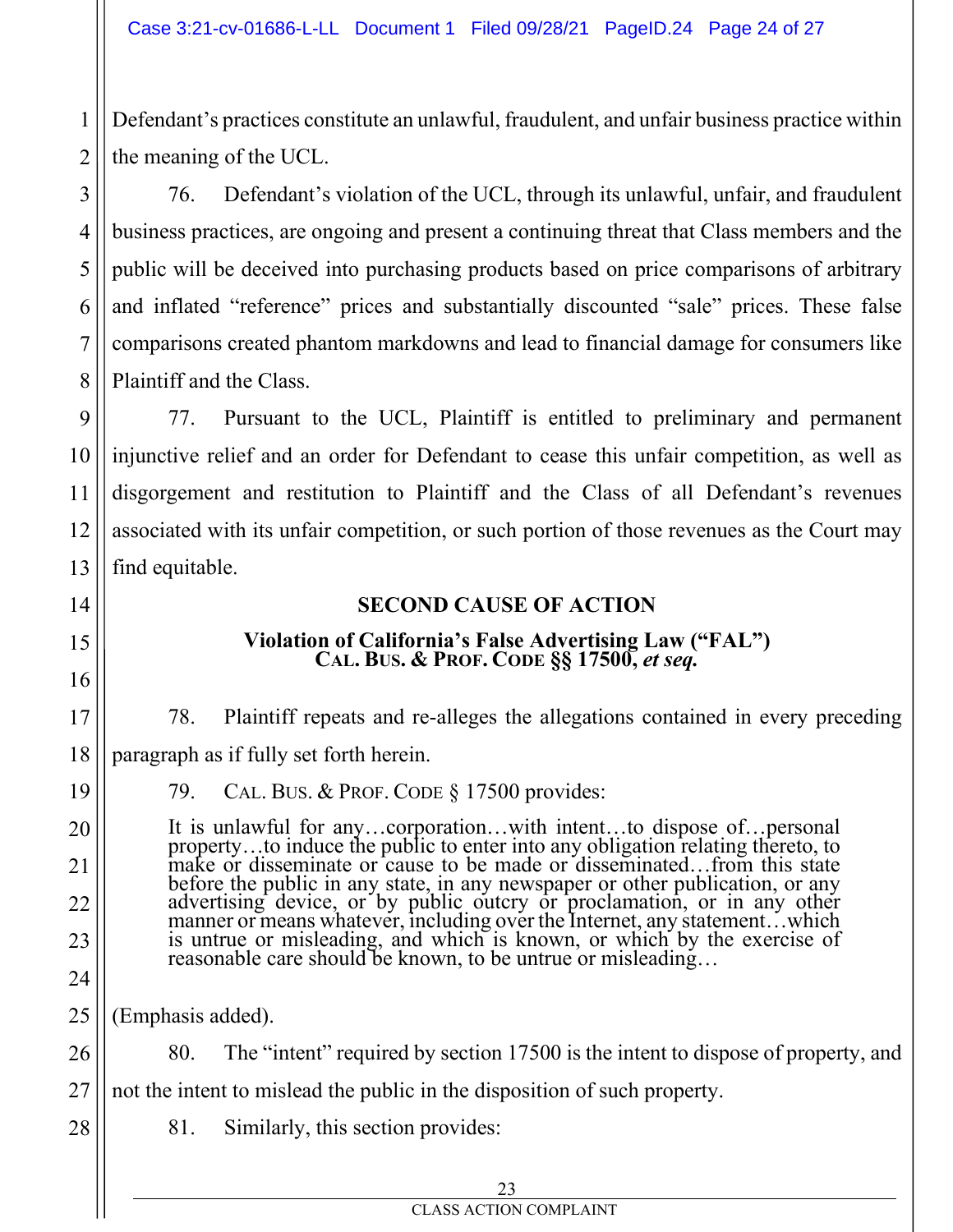Defendant's practices constitute an unlawful, fraudulent, and unfair business practice within the meaning of the UCL.

76. Defendant's violation of the UCL, through its unlawful, unfair, and fraudulent business practices, are ongoing and present a continuing threat that Class members and the public will be deceived into purchasing products based on price comparisons of arbitrary and inflated "reference" prices and substantially discounted "sale" prices. These false comparisons created phantom markdowns and lead to financial damage for consumers like Plaintiff and the Class.

77. Pursuant to the UCL, Plaintiff is entitled to preliminary and permanent injunctive relief and an order for Defendant to cease this unfair competition, as well as disgorgement and restitution to Plaintiff and the Class of all Defendant's revenues associated with its unfair competition, or such portion of those revenues as the Court may find equitable.

### **SECOND CAUSE OF ACTION**

# **Violation of California's False Advertising Law ("FAL") CAL. BUS. & PROF. CODE §§ 17500,** *et seq.*

78. Plaintiff repeats and re-alleges the allegations contained in every preceding paragraph as if fully set forth herein.

79. CAL. BUS. & PROF. CODE § 17500 provides:

It is unlawful for any…corporation…with intent…to dispose of…personal property…to induce the public to enter into any obligation relating thereto, to make or disseminate or cause to be made or disseminated…from this state before the public in any state, in any newspaper or other publication, or any advertising device, or by public outcry or proclamation, or in any other manner or means whatever, including over the Internet, any statement…which is untrue or misleading, and which is known, or which by the exercise of reasonable care should be known, to be untrue or misleading…

(Emphasis added).

80. The "intent" required by section 17500 is the intent to dispose of property, and not the intent to mislead the public in the disposition of such property.

81. Similarly, this section provides:

1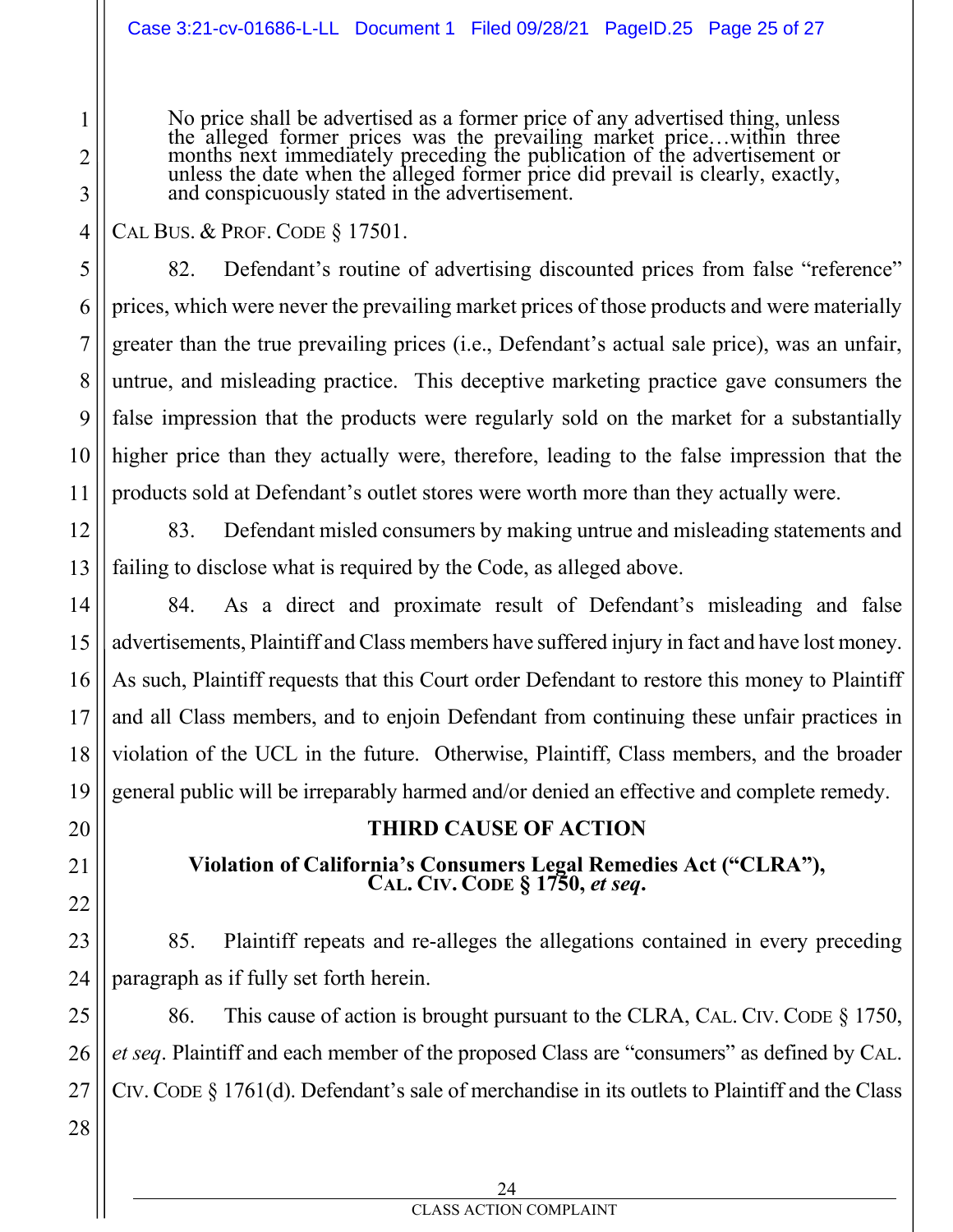No price shall be advertised as a former price of any advertised thing, unless<br>the alleged former prices was the prevailing market price...within three<br>months next immediately preceding the publication of the advertisement and conspicuously stated in the advertisement.

CAL BUS. & PROF. CODE § 17501.

82. Defendant's routine of advertising discounted prices from false "reference" prices, which were never the prevailing market prices of those products and were materially greater than the true prevailing prices (i.e., Defendant's actual sale price), was an unfair, untrue, and misleading practice. This deceptive marketing practice gave consumers the false impression that the products were regularly sold on the market for a substantially higher price than they actually were, therefore, leading to the false impression that the products sold at Defendant's outlet stores were worth more than they actually were.

83. Defendant misled consumers by making untrue and misleading statements and failing to disclose what is required by the Code, as alleged above.

84. As a direct and proximate result of Defendant's misleading and false advertisements, Plaintiff and Class members have suffered injury in fact and have lost money. As such, Plaintiff requests that this Court order Defendant to restore this money to Plaintiff and all Class members, and to enjoin Defendant from continuing these unfair practices in violation of the UCL in the future. Otherwise, Plaintiff, Class members, and the broader general public will be irreparably harmed and/or denied an effective and complete remedy.

#### **THIRD CAUSE OF ACTION**

**Violation of California's Consumers Legal Remedies Act ("CLRA"), CAL. CIV. CODE § 1750,** *et seq***.**

85. Plaintiff repeats and re-alleges the allegations contained in every preceding paragraph as if fully set forth herein.

86. This cause of action is brought pursuant to the CLRA, CAL. CIV. CODE § 1750, *et seq*. Plaintiff and each member of the proposed Class are "consumers" as defined by CAL. CIV. CODE § 1761(d). Defendant's sale of merchandise in its outlets to Plaintiff and the Class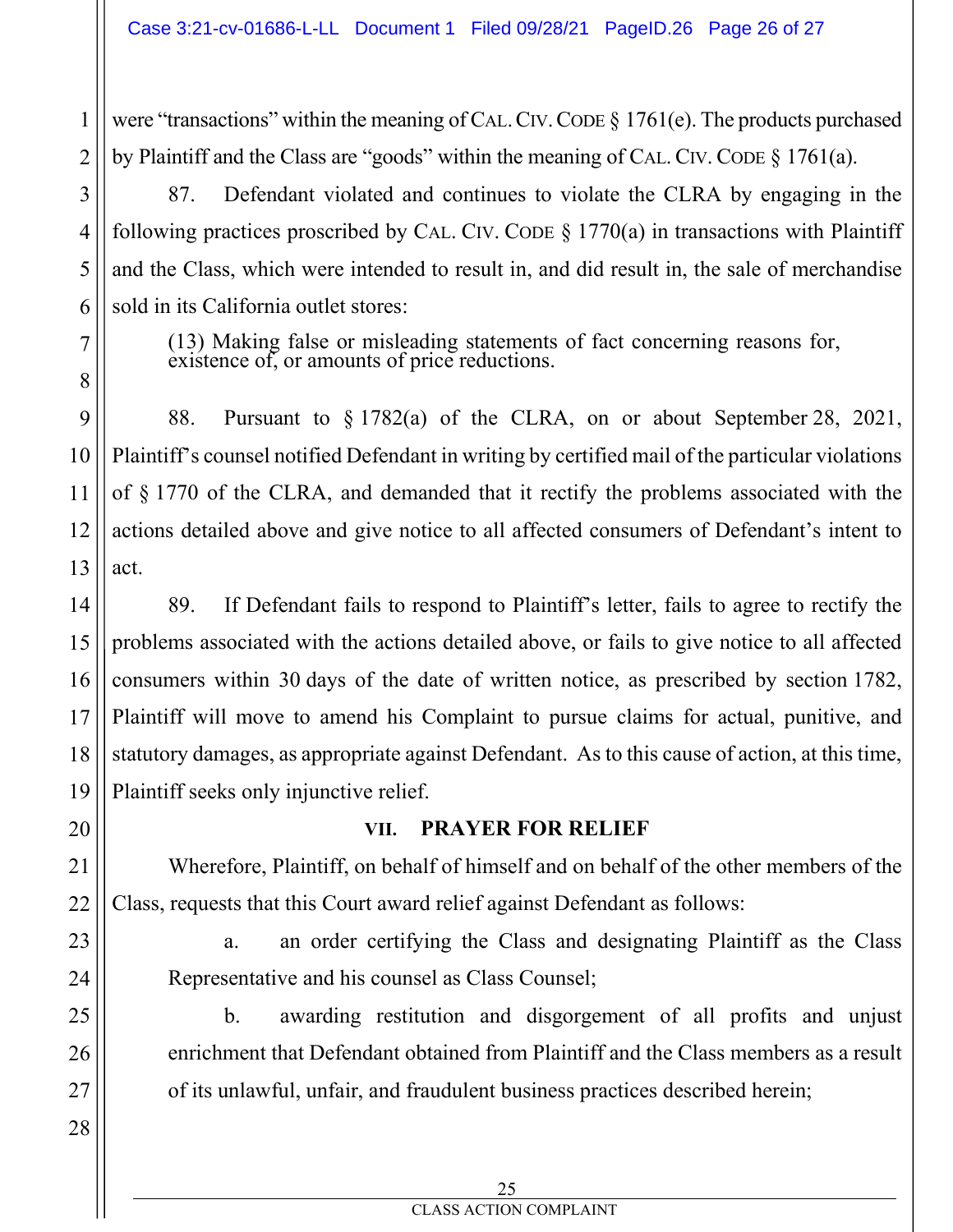were "transactions" within the meaning of CAL. CIV. CODE  $\S$  1761(e). The products purchased by Plaintiff and the Class are "goods" within the meaning of CAL. CIV. CODE § 1761(a).

87. Defendant violated and continues to violate the CLRA by engaging in the following practices proscribed by CAL. CIV. CODE  $\S$  1770(a) in transactions with Plaintiff and the Class, which were intended to result in, and did result in, the sale of merchandise sold in its California outlet stores:

(13) Making false or misleading statements of fact concerning reasons for, existence of, or amounts of price reductions.

88. Pursuant to § 1782(a) of the CLRA, on or about September 28, 2021, Plaintiff's counsel notified Defendant in writing by certified mail of the particular violations of § 1770 of the CLRA, and demanded that it rectify the problems associated with the actions detailed above and give notice to all affected consumers of Defendant's intent to act.

89. If Defendant fails to respond to Plaintiff's letter, fails to agree to rectify the problems associated with the actions detailed above, or fails to give notice to all affected consumers within 30 days of the date of written notice, as prescribed by section 1782, Plaintiff will move to amend his Complaint to pursue claims for actual, punitive, and statutory damages, as appropriate against Defendant. As to this cause of action, at this time, Plaintiff seeks only injunctive relief.

#### **VII. PRAYER FOR RELIEF**

Wherefore, Plaintiff, on behalf of himself and on behalf of the other members of the Class, requests that this Court award relief against Defendant as follows:

a. an order certifying the Class and designating Plaintiff as the Class Representative and his counsel as Class Counsel;

b. awarding restitution and disgorgement of all profits and unjust enrichment that Defendant obtained from Plaintiff and the Class members as a result of its unlawful, unfair, and fraudulent business practices described herein;

1

2

3

4

5

6

7

8

9

CLASS ACTION COMPLAINT 25